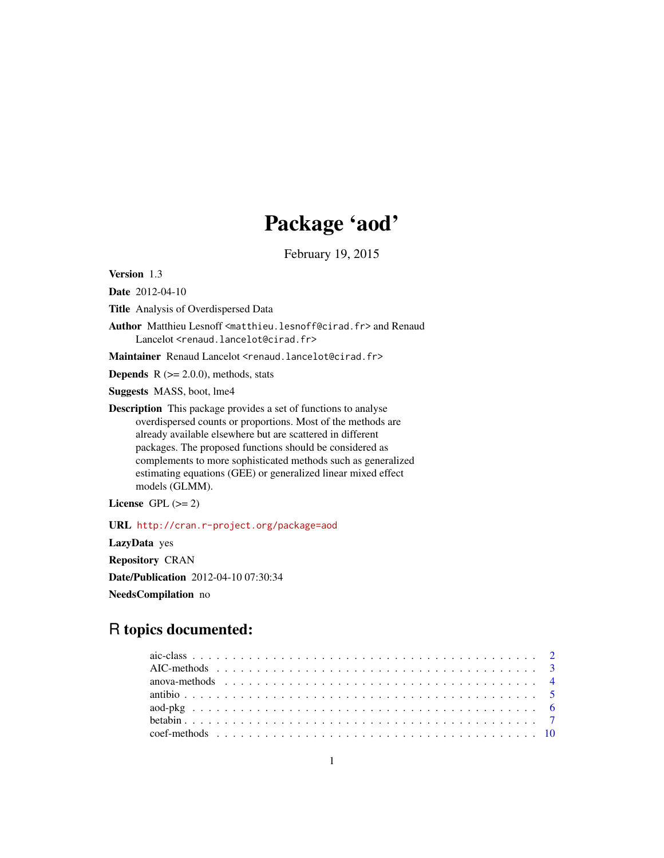# Package 'aod'

February 19, 2015

<span id="page-0-0"></span>Version 1.3

Date 2012-04-10

Title Analysis of Overdispersed Data

Author Matthieu Lesnoff <matthieu.lesnoff@cirad.fr> and Renaud Lancelot<renaud.lancelot@cirad.fr>

Maintainer Renaud Lancelot <renaud.lancelot@cirad.fr>

**Depends**  $R$  ( $>= 2.0.0$ ), methods, stats

Suggests MASS, boot, lme4

Description This package provides a set of functions to analyse overdispersed counts or proportions. Most of the methods are already available elsewhere but are scattered in different packages. The proposed functions should be considered as complements to more sophisticated methods such as generalized estimating equations (GEE) or generalized linear mixed effect models (GLMM).

License GPL  $(>= 2)$ 

URL <http://cran.r-project.org/package=aod>

LazyData yes

Repository CRAN Date/Publication 2012-04-10 07:30:34 NeedsCompilation no

# R topics documented: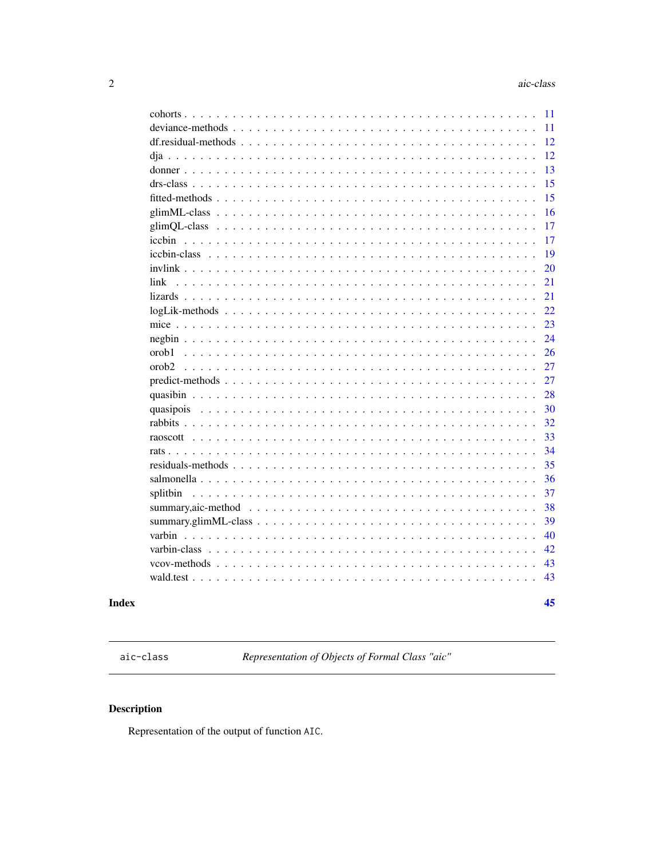<span id="page-1-0"></span>

| 11<br>12<br>12<br>13<br>15<br>15<br>16<br>17<br>17<br>icchin<br>19<br>20<br>21<br>link<br>21<br>22<br>2 <sub>3</sub><br>24<br>26<br>orob1<br>and the state of the state<br>27<br>orob2<br>$\mathcal{L}$ . The set of $\mathcal{L}$<br>27<br>28<br>$\ddot{\phantom{0}}$<br>30<br>32<br>33<br>34<br>35<br>36<br>splitbin<br>37<br>38<br>39<br>40<br>42<br>43<br>43 | 11 |
|------------------------------------------------------------------------------------------------------------------------------------------------------------------------------------------------------------------------------------------------------------------------------------------------------------------------------------------------------------------|----|
|                                                                                                                                                                                                                                                                                                                                                                  |    |
|                                                                                                                                                                                                                                                                                                                                                                  |    |
|                                                                                                                                                                                                                                                                                                                                                                  |    |
|                                                                                                                                                                                                                                                                                                                                                                  |    |
|                                                                                                                                                                                                                                                                                                                                                                  |    |
|                                                                                                                                                                                                                                                                                                                                                                  |    |
|                                                                                                                                                                                                                                                                                                                                                                  |    |
|                                                                                                                                                                                                                                                                                                                                                                  |    |
|                                                                                                                                                                                                                                                                                                                                                                  |    |
|                                                                                                                                                                                                                                                                                                                                                                  |    |
|                                                                                                                                                                                                                                                                                                                                                                  |    |
|                                                                                                                                                                                                                                                                                                                                                                  |    |
|                                                                                                                                                                                                                                                                                                                                                                  |    |
|                                                                                                                                                                                                                                                                                                                                                                  |    |
|                                                                                                                                                                                                                                                                                                                                                                  |    |
|                                                                                                                                                                                                                                                                                                                                                                  |    |
|                                                                                                                                                                                                                                                                                                                                                                  |    |
|                                                                                                                                                                                                                                                                                                                                                                  |    |
|                                                                                                                                                                                                                                                                                                                                                                  |    |
|                                                                                                                                                                                                                                                                                                                                                                  |    |
|                                                                                                                                                                                                                                                                                                                                                                  |    |
|                                                                                                                                                                                                                                                                                                                                                                  |    |
|                                                                                                                                                                                                                                                                                                                                                                  |    |
|                                                                                                                                                                                                                                                                                                                                                                  |    |
|                                                                                                                                                                                                                                                                                                                                                                  |    |
|                                                                                                                                                                                                                                                                                                                                                                  |    |
|                                                                                                                                                                                                                                                                                                                                                                  |    |
|                                                                                                                                                                                                                                                                                                                                                                  |    |
|                                                                                                                                                                                                                                                                                                                                                                  |    |
|                                                                                                                                                                                                                                                                                                                                                                  |    |
|                                                                                                                                                                                                                                                                                                                                                                  |    |
|                                                                                                                                                                                                                                                                                                                                                                  |    |
|                                                                                                                                                                                                                                                                                                                                                                  |    |
|                                                                                                                                                                                                                                                                                                                                                                  | 45 |

# **Index**

aic-class

Representation of Objects of Formal Class "aic"

# Description

Representation of the output of function AIC.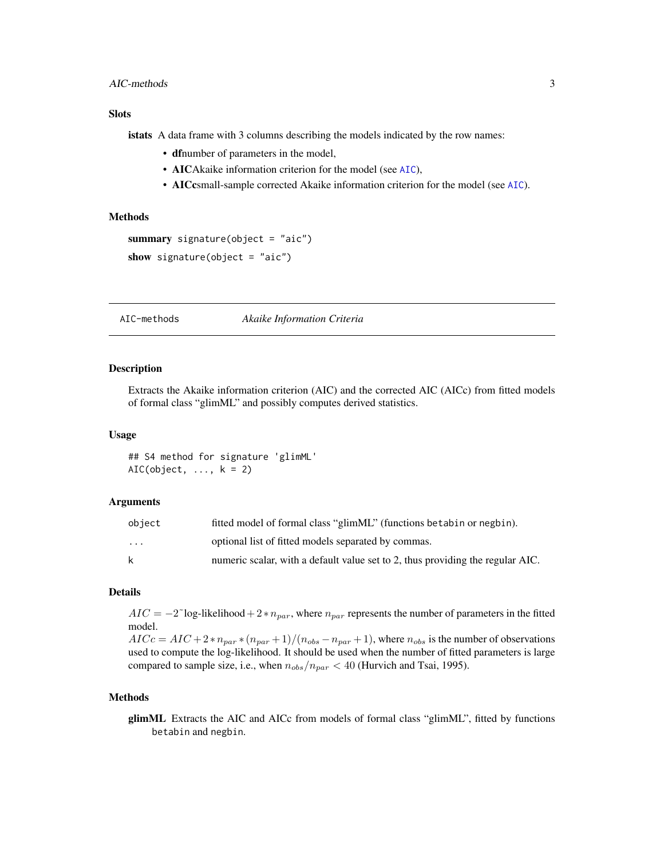#### <span id="page-2-0"></span>AIC-methods 3

# Slots

istats A data frame with 3 columns describing the models indicated by the row names:

- dfnumber of parameters in the model,
- [AIC](#page-0-0)Akaike information criterion for the model (see AIC),
- AICcsmall-sample corrected Akaike information criterion for the model (see [AIC](#page-0-0)).

# Methods

```
summary signature(object = "aic")show signature(object = "aic")
```
AIC-methods *Akaike Information Criteria*

# Description

Extracts the Akaike information criterion (AIC) and the corrected AIC (AICc) from fitted models of formal class "glimML" and possibly computes derived statistics.

# Usage

```
## S4 method for signature 'glimML'
AIC(object, ..., k = 2)
```
# Arguments

| object   | fitted model of formal class "glimML" (functions betabin or negbin).           |
|----------|--------------------------------------------------------------------------------|
| $\cdots$ | optional list of fitted models separated by commas.                            |
| k        | numeric scalar, with a default value set to 2, thus providing the regular AIC. |

#### Details

 $AIC = -2^{\circ}$ log-likelihood + 2 \*  $n_{par}$ , where  $n_{par}$  represents the number of parameters in the fitted model.

 $AICc = AIC + 2*n_{par} * (n_{par} + 1)/(n_{obs} - n_{par} + 1)$ , where  $n_{obs}$  is the number of observations used to compute the log-likelihood. It should be used when the number of fitted parameters is large compared to sample size, i.e., when  $n_{obs}/n_{par} < 40$  (Hurvich and Tsai, 1995).

# Methods

glimML Extracts the AIC and AICc from models of formal class "glimML", fitted by functions betabin and negbin.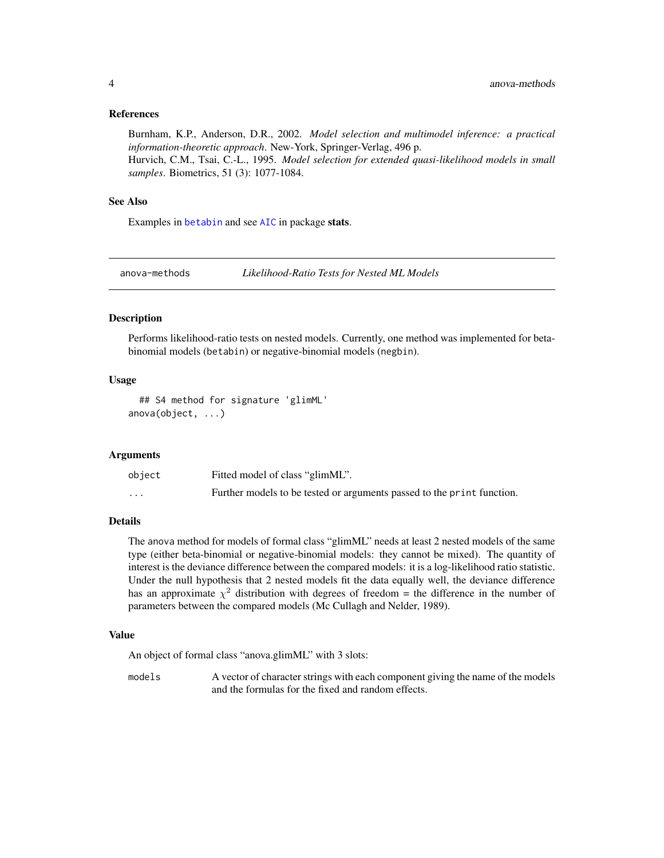# <span id="page-3-0"></span>References

Burnham, K.P., Anderson, D.R., 2002. *Model selection and multimodel inference: a practical information-theoretic approach*. New-York, Springer-Verlag, 496 p. Hurvich, C.M., Tsai, C.-L., 1995. *Model selection for extended quasi-likelihood models in small*

*samples*. Biometrics, 51 (3): 1077-1084.

# See Also

Examples in [betabin](#page-6-1) and see [AIC](#page-0-0) in package stats.

anova-methods *Likelihood-Ratio Tests for Nested ML Models*

# Description

Performs likelihood-ratio tests on nested models. Currently, one method was implemented for betabinomial models (betabin) or negative-binomial models (negbin).

# Usage

```
## S4 method for signature 'glimML'
anova(object, ...)
```
# Arguments

| object | Fitted model of class "glimML".                                        |
|--------|------------------------------------------------------------------------|
| .      | Further models to be tested or arguments passed to the print function. |

# Details

The anova method for models of formal class "glimML" needs at least 2 nested models of the same type (either beta-binomial or negative-binomial models: they cannot be mixed). The quantity of interest is the deviance difference between the compared models: it is a log-likelihood ratio statistic. Under the null hypothesis that 2 nested models fit the data equally well, the deviance difference has an approximate  $\chi^2$  distribution with degrees of freedom = the difference in the number of parameters between the compared models (Mc Cullagh and Nelder, 1989).

#### Value

An object of formal class "anova.glimML" with 3 slots:

models A vector of character strings with each component giving the name of the models and the formulas for the fixed and random effects.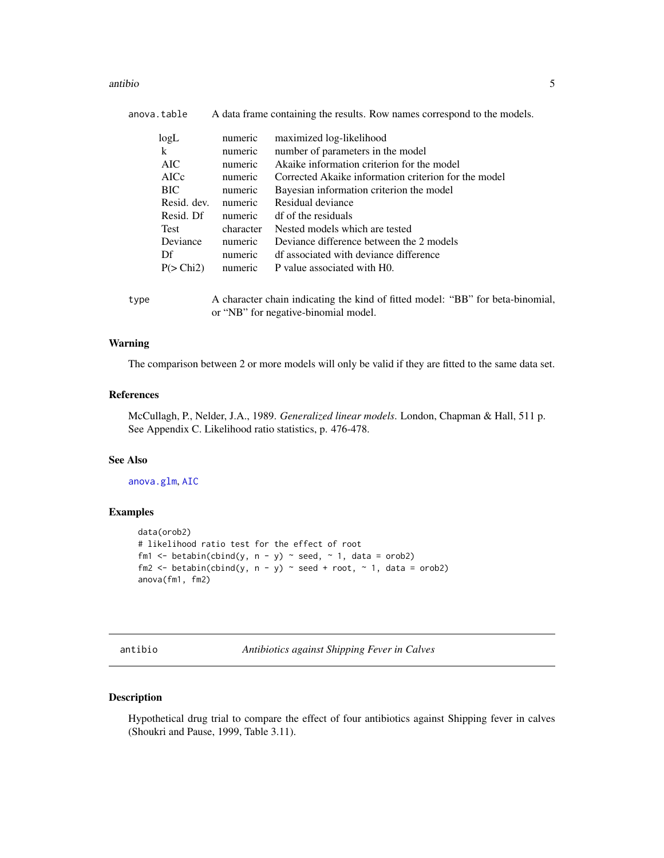#### <span id="page-4-0"></span>antibio 5

| anova.table |               |           | A data frame containing the results. Row names correspond to the models.                                               |
|-------------|---------------|-----------|------------------------------------------------------------------------------------------------------------------------|
|             | logL          | numeric   | maximized log-likelihood                                                                                               |
| k           |               | numeric   | number of parameters in the model                                                                                      |
|             | AIC           | numeric   | Akaike information criterion for the model                                                                             |
|             | AICc          | numeric   | Corrected Akaike information criterion for the model                                                                   |
|             | BIC.          | numeric   | Bayesian information criterion the model                                                                               |
|             | Resid. dev.   | numeric   | Residual deviance                                                                                                      |
|             | Resid. Df     | numeric   | df of the residuals                                                                                                    |
|             | <b>Test</b>   | character | Nested models which are tested                                                                                         |
|             | Deviance      | numeric   | Deviance difference between the 2 models                                                                               |
| Df          |               | numeric   | df associated with deviance difference                                                                                 |
|             | $P($ Chi2 $)$ | numeric   | P value associated with H0.                                                                                            |
| type        |               |           | A character chain indicating the kind of fitted model: "BB" for beta-binomial,<br>or "NB" for negative-binomial model. |

#### Warning

The comparison between 2 or more models will only be valid if they are fitted to the same data set.

# References

McCullagh, P., Nelder, J.A., 1989. *Generalized linear models*. London, Chapman & Hall, 511 p. See Appendix C. Likelihood ratio statistics, p. 476-478.

# See Also

[anova.glm](#page-0-0), [AIC](#page-0-0)

# Examples

```
data(orob2)
# likelihood ratio test for the effect of root
fm1 <- betabin(cbind(y, n - y) ~ seed, ~ 1, data = orob2)
fm2 <- betabin(cbind(y, n - y) ~ seed + root, ~ 1, data = orob2)
anova(fm1, fm2)
```
antibio *Antibiotics against Shipping Fever in Calves*

# Description

Hypothetical drug trial to compare the effect of four antibiotics against Shipping fever in calves (Shoukri and Pause, 1999, Table 3.11).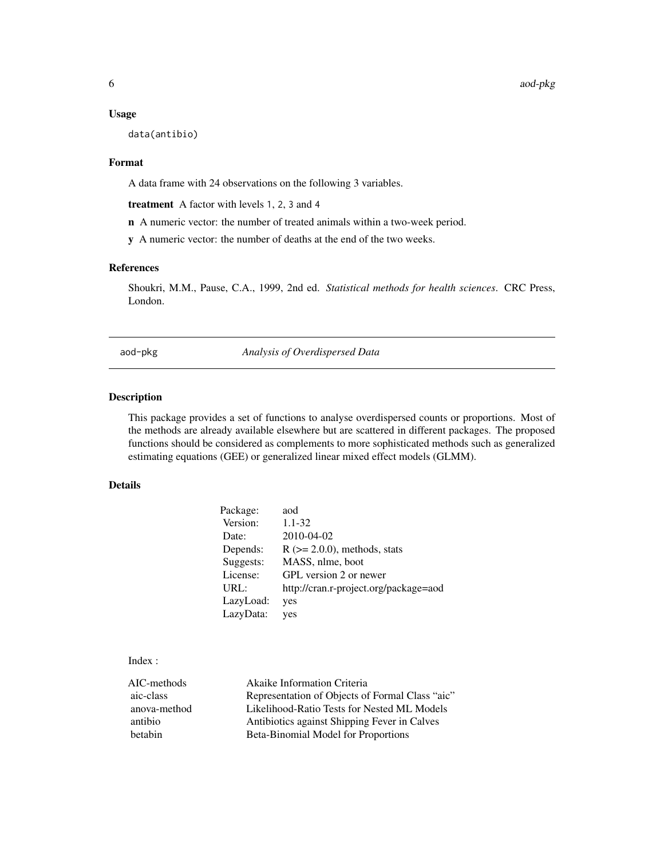#### <span id="page-5-0"></span>Usage

data(antibio)

#### Format

A data frame with 24 observations on the following 3 variables.

treatment A factor with levels 1, 2, 3 and 4

n A numeric vector: the number of treated animals within a two-week period.

y A numeric vector: the number of deaths at the end of the two weeks.

# References

Shoukri, M.M., Pause, C.A., 1999, 2nd ed. *Statistical methods for health sciences*. CRC Press, London.

aod-pkg *Analysis of Overdispersed Data*

# Description

This package provides a set of functions to analyse overdispersed counts or proportions. Most of the methods are already available elsewhere but are scattered in different packages. The proposed functions should be considered as complements to more sophisticated methods such as generalized estimating equations (GEE) or generalized linear mixed effect models (GLMM).

# Details

| Package:  | aod                                   |
|-----------|---------------------------------------|
| Version:  | $1.1 - 32$                            |
| Date:     | 2010-04-02                            |
| Depends:  | $R$ ( $>= 2.0.0$ ), methods, stats    |
| Suggests: | MASS, nlme, boot                      |
| License:  | GPL version 2 or newer                |
| URL:      | http://cran.r-project.org/package=aod |
| LazyLoad: | yes                                   |
| LazyData: | yes                                   |

# Index :

| AIC-methods  | Akaike Information Criteria                     |
|--------------|-------------------------------------------------|
| aic-class    | Representation of Objects of Formal Class "aic" |
| anova-method | Likelihood-Ratio Tests for Nested ML Models     |
| antibio      | Antibiotics against Shipping Fever in Calves    |
| betabin      | Beta-Binomial Model for Proportions             |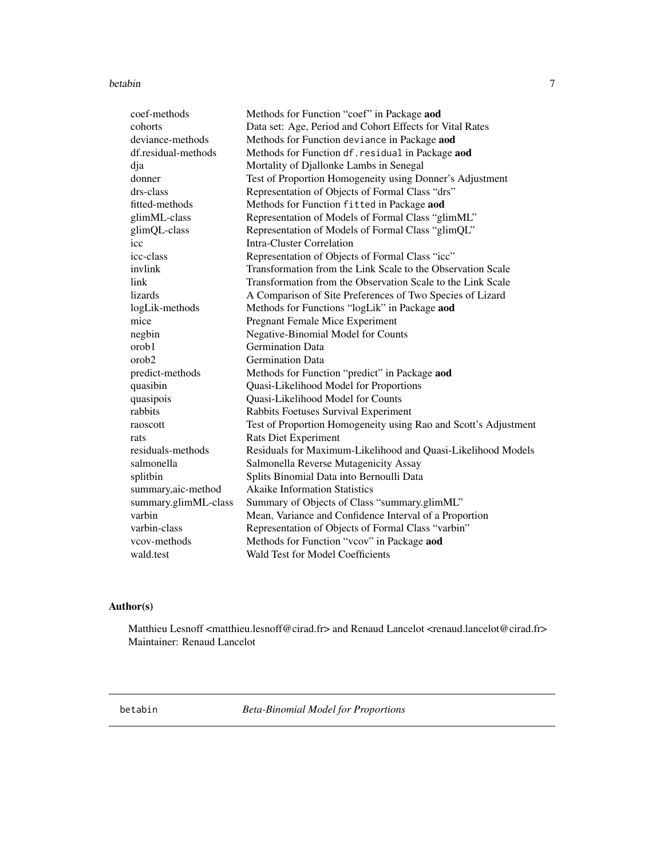#### <span id="page-6-0"></span>betabin 7

| coef-methods         | Methods for Function "coef" in Package aod                      |
|----------------------|-----------------------------------------------------------------|
| cohorts              | Data set: Age, Period and Cohort Effects for Vital Rates        |
| deviance-methods     | Methods for Function deviance in Package aod                    |
| df.residual-methods  | Methods for Function df. residual in Package aod                |
| dja                  | Mortality of Djallonke Lambs in Senegal                         |
| donner               | Test of Proportion Homogeneity using Donner's Adjustment        |
| drs-class            | Representation of Objects of Formal Class "drs"                 |
| fitted-methods       | Methods for Function fitted in Package aod                      |
| glimML-class         | Representation of Models of Formal Class "glimML"               |
| glimQL-class         | Representation of Models of Formal Class "glimQL"               |
| icc                  | <b>Intra-Cluster Correlation</b>                                |
| icc-class            | Representation of Objects of Formal Class "icc"                 |
| invlink              | Transformation from the Link Scale to the Observation Scale     |
| link                 | Transformation from the Observation Scale to the Link Scale     |
| lizards              | A Comparison of Site Preferences of Two Species of Lizard       |
| logLik-methods       | Methods for Functions "logLik" in Package aod                   |
| mice                 | Pregnant Female Mice Experiment                                 |
| negbin               | Negative-Binomial Model for Counts                              |
| orob1                | <b>Germination Data</b>                                         |
| orob2                | <b>Germination Data</b>                                         |
| predict-methods      | Methods for Function "predict" in Package aod                   |
| quasibin             | Quasi-Likelihood Model for Proportions                          |
| quasipois            | Quasi-Likelihood Model for Counts                               |
| rabbits              | Rabbits Foetuses Survival Experiment                            |
| raoscott             | Test of Proportion Homogeneity using Rao and Scott's Adjustment |
| rats                 | <b>Rats Diet Experiment</b>                                     |
| residuals-methods    | Residuals for Maximum-Likelihood and Quasi-Likelihood Models    |
| salmonella           | Salmonella Reverse Mutagenicity Assay                           |
| splitbin             | Splits Binomial Data into Bernoulli Data                        |
| summary,aic-method   | <b>Akaike Information Statistics</b>                            |
| summary.glimML-class | Summary of Objects of Class "summary.glimML"                    |
| varbin               | Mean, Variance and Confidence Interval of a Proportion          |
| varbin-class         | Representation of Objects of Formal Class "varbin"              |
| vcov-methods         | Methods for Function "vcov" in Package aod                      |
| wald.test            | Wald Test for Model Coefficients                                |

# Author(s)

Matthieu Lesnoff <matthieu.lesnoff@cirad.fr> and Renaud Lancelot <renaud.lancelot@cirad.fr> Maintainer: Renaud Lancelot

<span id="page-6-1"></span>betabin *Beta-Binomial Model for Proportions*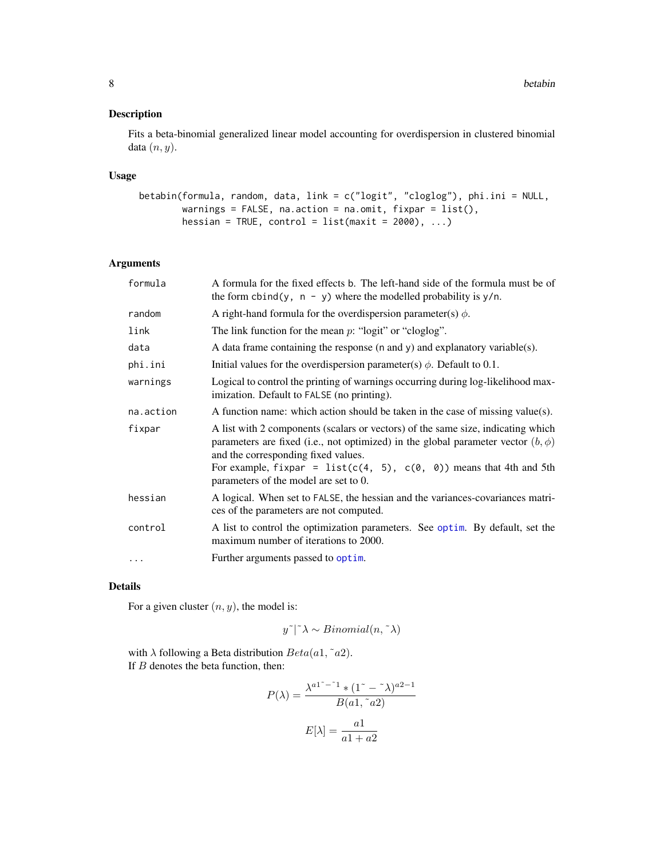<span id="page-7-0"></span>Fits a beta-binomial generalized linear model accounting for overdispersion in clustered binomial data  $(n, y)$ .

# Usage

```
betabin(formula, random, data, link = c("logit", "cloglog"), phi.ini = NULL,
        warnings = FALSE, na.action = na.omit, fixpar = list(),
        hessian = TRUE, control = list(maxit = 2000), ...)
```
# Arguments

| formula    | A formula for the fixed effects b. The left-hand side of the formula must be of<br>the form cbind(y, $n - y$ ) where the modelled probability is y/n.                                                                                                                                                                                   |
|------------|-----------------------------------------------------------------------------------------------------------------------------------------------------------------------------------------------------------------------------------------------------------------------------------------------------------------------------------------|
| random     | A right-hand formula for the overdispersion parameter(s) $\phi$ .                                                                                                                                                                                                                                                                       |
| link       | The link function for the mean $p$ : "logit" or "cloglog".                                                                                                                                                                                                                                                                              |
| data       | A data frame containing the response ( $n$ and $y$ ) and explanatory variable( $s$ ).                                                                                                                                                                                                                                                   |
| phi.ini    | Initial values for the overdispersion parameter(s) $\phi$ . Default to 0.1.                                                                                                                                                                                                                                                             |
| warnings   | Logical to control the printing of warnings occurring during log-likelihood max-<br>imization. Default to FALSE (no printing).                                                                                                                                                                                                          |
| na.action  | A function name: which action should be taken in the case of missing value(s).                                                                                                                                                                                                                                                          |
| fixpar     | A list with 2 components (scalars or vectors) of the same size, indicating which<br>parameters are fixed (i.e., not optimized) in the global parameter vector $(b, \phi)$<br>and the corresponding fixed values.<br>For example, fixpar = list( $c(4, 5)$ , $c(0, 0)$ ) means that 4th and 5th<br>parameters of the model are set to 0. |
| hessian    | A logical. When set to FALSE, the hessian and the variances-covariances matri-<br>ces of the parameters are not computed.                                                                                                                                                                                                               |
| control    | A list to control the optimization parameters. See optim. By default, set the<br>maximum number of iterations to 2000.                                                                                                                                                                                                                  |
| $\ddots$ . | Further arguments passed to optim.                                                                                                                                                                                                                                                                                                      |

# Details

For a given cluster  $(n, y)$ , the model is:

$$
y^{\sim}|\tilde{\lambda} \sim Binomial(n, \tilde{\lambda})
$$

with  $\lambda$  following a Beta distribution  $Beta(a1, a2)$ . If  $B$  denotes the beta function, then:

$$
P(\lambda) = \frac{\lambda^{a1^{\sim}-1} * (1^{\sim} - \lambda)^{a2-1}}{B(a1, \text{ a}2)}
$$

$$
E[\lambda] = \frac{a1}{a1 + a2}
$$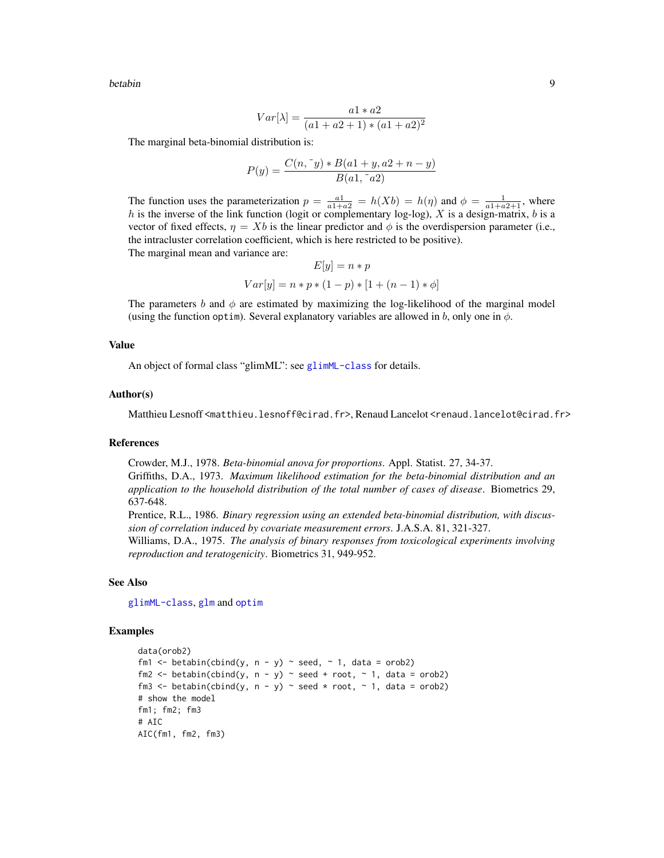<span id="page-8-0"></span>betabin 9

$$
Var[\lambda] = \frac{a1 * a2}{(a1 + a2 + 1) * (a1 + a2)^2}
$$

The marginal beta-binomial distribution is:

$$
P(y) = \frac{C(n, \tilde{y}) * B(a1 + y, a2 + n - y)}{B(a1, \tilde{a}a)}
$$

The function uses the parameterization  $p = \frac{a_1}{a_1 + a_2} = h(Xb) = h(\eta)$  and  $\phi = \frac{1}{a_1 + a_2 + 1}$ , where h is the inverse of the link function (logit or complementary log-log),  $X$  is a design-matrix,  $b$  is a vector of fixed effects,  $\eta = Xb$  is the linear predictor and  $\phi$  is the overdispersion parameter (i.e., the intracluster correlation coefficient, which is here restricted to be positive).

The marginal mean and variance are:

$$
E[y] = n * p
$$
  
 
$$
Var[y] = n * p * (1 - p) * [1 + (n - 1) * \phi]
$$

The parameters b and  $\phi$  are estimated by maximizing the log-likelihood of the marginal model (using the function optim). Several explanatory variables are allowed in b, only one in  $\phi$ .

#### Value

An object of formal class "glimML": see [glimML-class](#page-15-1) for details.

#### Author(s)

Matthieu Lesnoff <matthieu.lesnoff@cirad.fr>, Renaud Lancelot <renaud.lancelot@cirad.fr>

#### References

Crowder, M.J., 1978. *Beta-binomial anova for proportions*. Appl. Statist. 27, 34-37.

Griffiths, D.A., 1973. *Maximum likelihood estimation for the beta-binomial distribution and an application to the household distribution of the total number of cases of disease*. Biometrics 29, 637-648.

Prentice, R.L., 1986. *Binary regression using an extended beta-binomial distribution, with discussion of correlation induced by covariate measurement errors*. J.A.S.A. 81, 321-327.

Williams, D.A., 1975. *The analysis of binary responses from toxicological experiments involving reproduction and teratogenicity*. Biometrics 31, 949-952.

#### See Also

[glimML-class](#page-15-1), [glm](#page-0-0) and [optim](#page-0-0)

# Examples

```
data(orob2)
fm1 \leftarrow betabin(cbind(y, n - y) \sim seed, \sim 1, data = orob2)
fm2 <- betabin(cbind(y, n - y) ~ seed + root, ~ 1, data = orob2)
fm3 <- betabin(cbind(y, n - y) ~ seed * root, ~ 1, data = orob2)
# show the model
fm1; fm2; fm3
# AIC
AIC(fm1, fm2, fm3)
```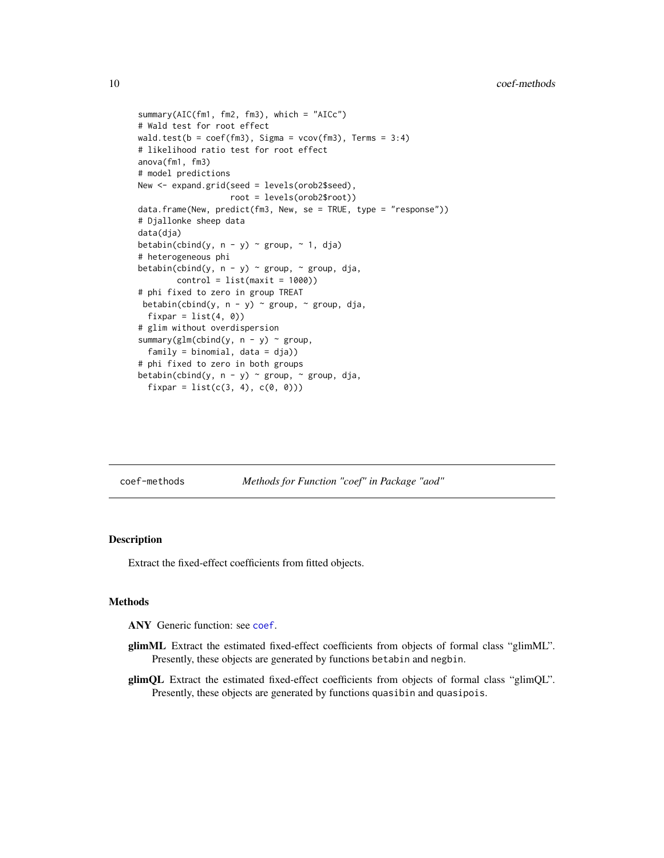```
summary(AIC(fm1, fm2, fm3), which = "AICc")
# Wald test for root effect
wald.test(b = \text{coef}(\text{fm3}), Sigma = vcov(fm3), Terms = 3:4)
# likelihood ratio test for root effect
anova(fm1, fm3)
# model predictions
New <- expand.grid(seed = levels(orob2$seed),
                   root = levels(orob2$root))
data.frame(New, predict(fm3, New, se = TRUE, type = "response"))
# Djallonke sheep data
data(dja)
betabin(cbind(y, n - y) \sim group, \sim 1, dja)
# heterogeneous phi
betabin(cbind(y, n - y) \sim group, \sim group, dja,
        control = list(maxit = 1000)# phi fixed to zero in group TREAT
betabin(cbind(y, n - y) \sim group, \sim group, dja,
  fixpar = list(4, 0))
# glim without overdispersion
summary(glm(cbind(y, n - y) ~ group,
 family = binomial, data = dja))
# phi fixed to zero in both groups
betabin(cbind(y, n - y) \sim group, \sim group, dja,
  fixpar = list(c(3, 4), c(0, 0)))
```
coef-methods *Methods for Function "coef" in Package "aod"*

#### **Description**

Extract the fixed-effect coefficients from fitted objects.

# Methods

ANY Generic function: see [coef](#page-0-0).

- glimML Extract the estimated fixed-effect coefficients from objects of formal class "glimML". Presently, these objects are generated by functions betabin and negbin.
- glimQL Extract the estimated fixed-effect coefficients from objects of formal class "glimQL". Presently, these objects are generated by functions quasibin and quasipois.

<span id="page-9-0"></span>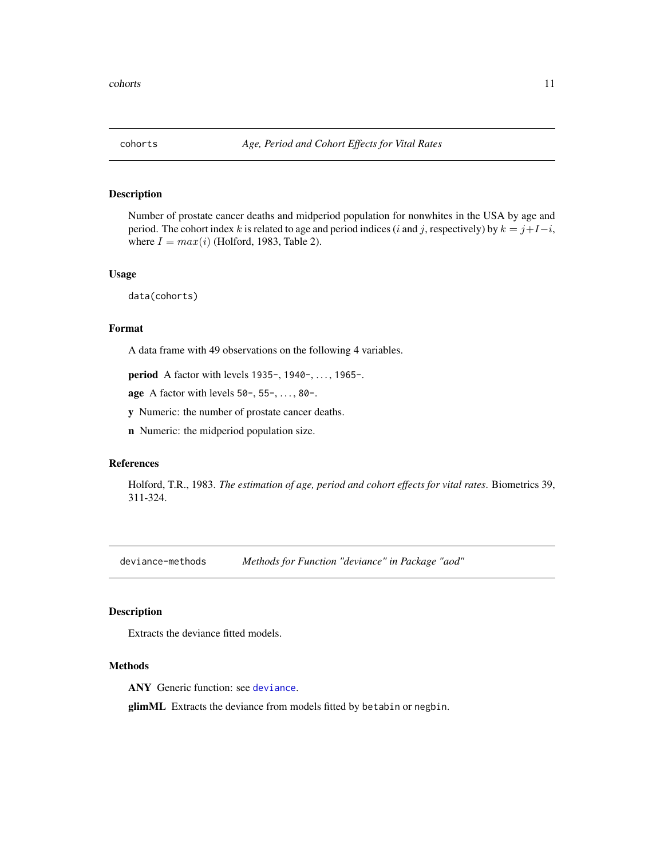<span id="page-10-0"></span>

Number of prostate cancer deaths and midperiod population for nonwhites in the USA by age and period. The cohort index k is related to age and period indices (i and j, respectively) by  $k = j+1-i$ , where  $I = max(i)$  (Holford, 1983, Table 2).

#### Usage

data(cohorts)

# Format

A data frame with 49 observations on the following 4 variables.

period A factor with levels 1935-, 1940-, ..., 1965-.

age A factor with levels 50-, 55-, . . . , 80-.

y Numeric: the number of prostate cancer deaths.

n Numeric: the midperiod population size.

#### References

Holford, T.R., 1983. *The estimation of age, period and cohort effects for vital rates*. Biometrics 39, 311-324.

deviance-methods *Methods for Function "deviance" in Package "aod"*

# Description

Extracts the deviance fitted models.

#### Methods

ANY Generic function: see [deviance](#page-0-0).

glimML Extracts the deviance from models fitted by betabin or negbin.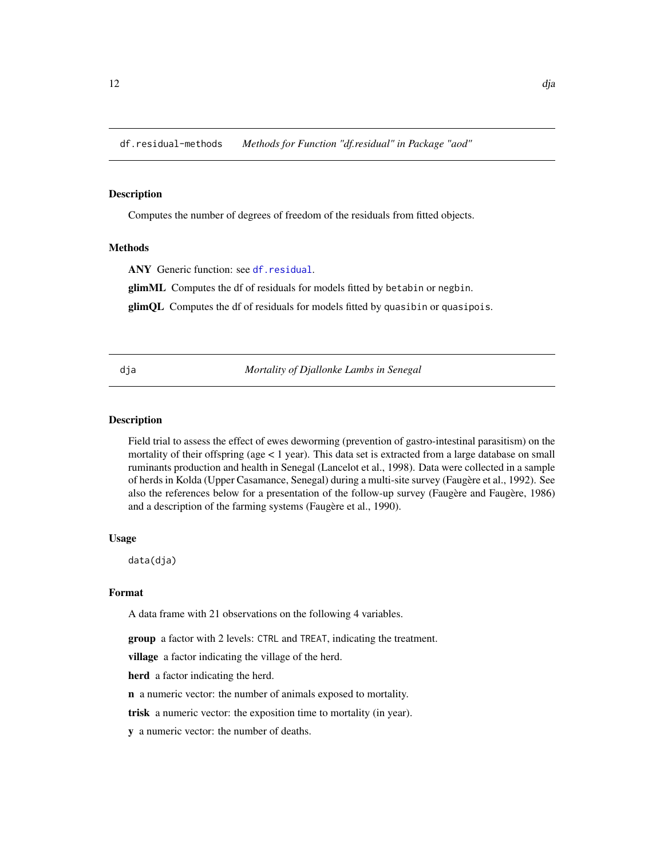<span id="page-11-0"></span>df.residual-methods *Methods for Function "df.residual" in Package "aod"*

# Description

Computes the number of degrees of freedom of the residuals from fitted objects.

# Methods

ANY Generic function: see [df.residual](#page-0-0).

glimML Computes the df of residuals for models fitted by betabin or negbin.

glimQL Computes the df of residuals for models fitted by quasibin or quasipois.

#### dja *Mortality of Djallonke Lambs in Senegal*

# Description

Field trial to assess the effect of ewes deworming (prevention of gastro-intestinal parasitism) on the mortality of their offspring (age < 1 year). This data set is extracted from a large database on small ruminants production and health in Senegal (Lancelot et al., 1998). Data were collected in a sample of herds in Kolda (Upper Casamance, Senegal) during a multi-site survey (Faugère et al., 1992). See also the references below for a presentation of the follow-up survey (Faugère and Faugère, 1986) and a description of the farming systems (Faugère et al., 1990).

#### Usage

data(dja)

#### Format

A data frame with 21 observations on the following 4 variables.

group a factor with 2 levels: CTRL and TREAT, indicating the treatment.

village a factor indicating the village of the herd.

herd a factor indicating the herd.

n a numeric vector: the number of animals exposed to mortality.

trisk a numeric vector: the exposition time to mortality (in year).

y a numeric vector: the number of deaths.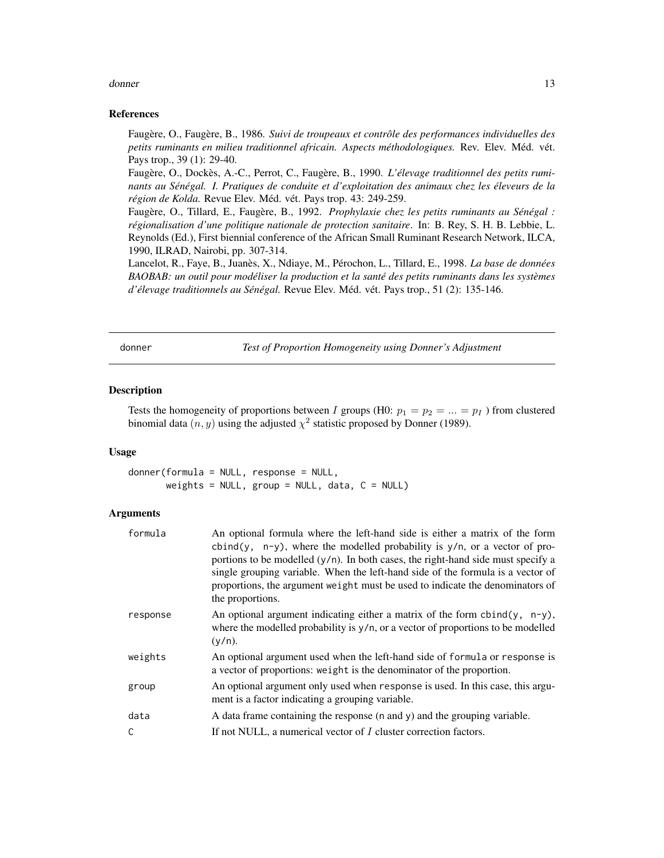#### <span id="page-12-0"></span>donner and the state of the state of the state of the state of the state of the state of the state of the state of the state of the state of the state of the state of the state of the state of the state of the state of the

# References

Faugère, O., Faugère, B., 1986. *Suivi de troupeaux et contrôle des performances individuelles des petits ruminants en milieu traditionnel africain. Aspects méthodologiques.* Rev. Elev. Méd. vét. Pays trop., 39 (1): 29-40.

Faugère, O., Dockès, A.-C., Perrot, C., Faugère, B., 1990. *L'élevage traditionnel des petits ruminants au Sénégal. I. Pratiques de conduite et d'exploitation des animaux chez les éleveurs de la région de Kolda.* Revue Elev. Méd. vét. Pays trop. 43: 249-259.

Faugère, O., Tillard, E., Faugère, B., 1992. *Prophylaxie chez les petits ruminants au Sénégal : régionalisation d'une politique nationale de protection sanitaire*. In: B. Rey, S. H. B. Lebbie, L. Reynolds (Ed.), First biennial conference of the African Small Ruminant Research Network, ILCA, 1990, ILRAD, Nairobi, pp. 307-314.

Lancelot, R., Faye, B., Juanès, X., Ndiaye, M., Pérochon, L., Tillard, E., 1998. *La base de données BAOBAB: un outil pour modéliser la production et la santé des petits ruminants dans les systèmes d'élevage traditionnels au Sénégal.* Revue Elev. Méd. vét. Pays trop., 51 (2): 135-146.

<span id="page-12-1"></span>donner *Test of Proportion Homogeneity using Donner's Adjustment*

#### Description

Tests the homogeneity of proportions between I groups (H0:  $p_1 = p_2 = ... = p_I$ ) from clustered binomial data  $(n, y)$  using the adjusted  $\chi^2$  statistic proposed by Donner (1989).

#### Usage

donner(formula = NULL, response = NULL, weights = NULL, group = NULL, data, C = NULL)

# Arguments

| formula  | An optional formula where the left-hand side is either a matrix of the form<br>cbind(y, n-y), where the modelled probability is $y/n$ , or a vector of pro-<br>portions to be modelled $(y/n)$ . In both cases, the right-hand side must specify a<br>single grouping variable. When the left-hand side of the formula is a vector of<br>proportions, the argument weight must be used to indicate the denominators of<br>the proportions. |
|----------|--------------------------------------------------------------------------------------------------------------------------------------------------------------------------------------------------------------------------------------------------------------------------------------------------------------------------------------------------------------------------------------------------------------------------------------------|
| response | An optional argument indicating either a matrix of the form cbind(y, $n-y$ ),<br>where the modelled probability is $y/n$ , or a vector of proportions to be modelled<br>$(y/n)$ .                                                                                                                                                                                                                                                          |
| weights  | An optional argument used when the left-hand side of formula or response is<br>a vector of proportions: weight is the denominator of the proportion.                                                                                                                                                                                                                                                                                       |
| group    | An optional argument only used when response is used. In this case, this argu-<br>ment is a factor indicating a grouping variable.                                                                                                                                                                                                                                                                                                         |
| data     | A data frame containing the response (n and y) and the grouping variable.                                                                                                                                                                                                                                                                                                                                                                  |
| C        | If not NULL, a numerical vector of I cluster correction factors.                                                                                                                                                                                                                                                                                                                                                                           |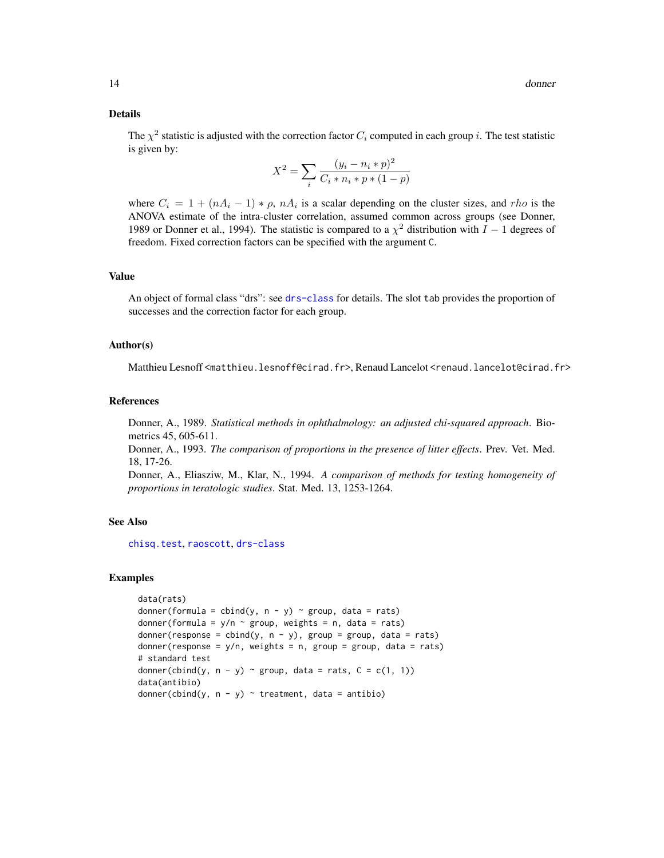#### <span id="page-13-0"></span>Details

The  $\chi^2$  statistic is adjusted with the correction factor  $C_i$  computed in each group i. The test statistic is given by:

$$
X^{2} = \sum_{i} \frac{(y_{i} - n_{i} \ast p)^{2}}{C_{i} \ast n_{i} \ast p \ast (1 - p)}
$$

where  $C_i = 1 + (nA_i - 1) * \rho$ ,  $nA_i$  is a scalar depending on the cluster sizes, and rho is the ANOVA estimate of the intra-cluster correlation, assumed common across groups (see Donner, 1989 or Donner et al., 1994). The statistic is compared to a  $\chi^2$  distribution with  $I-1$  degrees of freedom. Fixed correction factors can be specified with the argument C.

# Value

An object of formal class "drs": see [drs-class](#page-14-1) for details. The slot tab provides the proportion of successes and the correction factor for each group.

# Author(s)

Matthieu Lesnoff <matthieu.lesnoff@cirad.fr>, Renaud Lancelot <renaud.lancelot@cirad.fr>

#### References

Donner, A., 1989. *Statistical methods in ophthalmology: an adjusted chi-squared approach*. Biometrics 45, 605-611.

Donner, A., 1993. *The comparison of proportions in the presence of litter effects*. Prev. Vet. Med. 18, 17-26.

Donner, A., Eliasziw, M., Klar, N., 1994. *A comparison of methods for testing homogeneity of proportions in teratologic studies*. Stat. Med. 13, 1253-1264.

# See Also

[chisq.test](#page-0-0), [raoscott](#page-32-1), [drs-class](#page-14-1)

# Examples

```
data(rats)
donner(formula = cbind(y, n - y) \sim group, data = rats)
donner(formula = y/n \sim group, weights = n, data = rats)
donner(response = cbind(y, n - y), group = group, data = rats)
donner(response = y/n, weights = n, group = group, data = rats)
# standard test
donner(cbind(y, n - y) ~ group, data = rats, C = c(1, 1))
data(antibio)
donner(cbind(y, n - y) \sim treatment, data = antibio)
```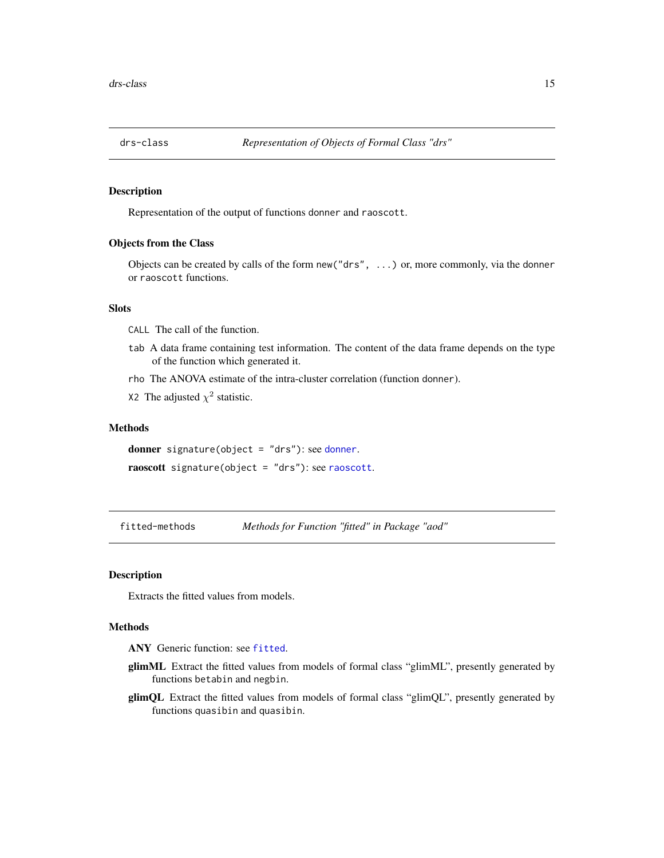<span id="page-14-1"></span><span id="page-14-0"></span>

Representation of the output of functions donner and raoscott.

# Objects from the Class

Objects can be created by calls of the form new("drs", ...) or, more commonly, via the donner or raoscott functions.

# Slots

CALL The call of the function.

- tab A data frame containing test information. The content of the data frame depends on the type of the function which generated it.
- rho The ANOVA estimate of the intra-cluster correlation (function donner).
- X2 The adjusted  $\chi^2$  statistic.

# Methods

[donner](#page-12-1) signature(object = "drs"): see donner.

raoscott signature(object = "drs"): see [raoscott](#page-32-1).

fitted-methods *Methods for Function "fitted" in Package "aod"*

#### Description

Extracts the fitted values from models.

# Methods

ANY Generic function: see [fitted](#page-0-0).

- glimML Extract the fitted values from models of formal class "glimML", presently generated by functions betabin and negbin.
- glimQL Extract the fitted values from models of formal class "glimQL", presently generated by functions quasibin and quasibin.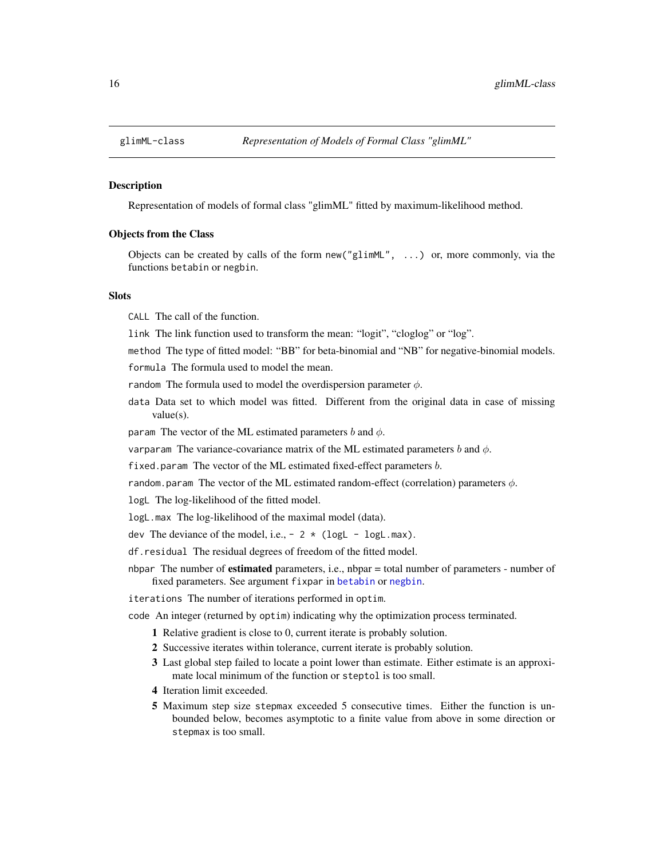<span id="page-15-1"></span><span id="page-15-0"></span>

Representation of models of formal class "glimML" fitted by maximum-likelihood method.

#### Objects from the Class

Objects can be created by calls of the form new("glimML", ...) or, more commonly, via the functions betabin or negbin.

#### **Slots**

CALL The call of the function.

- link The link function used to transform the mean: "logit", "cloglog" or "log".
- method The type of fitted model: "BB" for beta-binomial and "NB" for negative-binomial models.

formula The formula used to model the mean.

- random The formula used to model the overdispersion parameter  $\phi$ .
- data Data set to which model was fitted. Different from the original data in case of missing value(s).

param The vector of the ML estimated parameters b and  $\phi$ .

varparam The variance-covariance matrix of the ML estimated parameters b and  $\phi$ .

fixed.param The vector of the ML estimated fixed-effect parameters  $b$ .

random.param The vector of the ML estimated random-effect (correlation) parameters  $\phi$ .

logL The log-likelihood of the fitted model.

logL.max The log-likelihood of the maximal model (data).

dev The deviance of the model, i.e.,  $-2 \times (\text{log} \angle - \text{log} \angle \text{ max})$ .

df.residual The residual degrees of freedom of the fitted model.

nbpar The number of **estimated** parameters, i.e., nbpar = total number of parameters - number of fixed parameters. See argument fixpar in [betabin](#page-6-1) or [negbin](#page-23-1).

iterations The number of iterations performed in optim.

code An integer (returned by optim) indicating why the optimization process terminated.

- 1 Relative gradient is close to 0, current iterate is probably solution.
- 2 Successive iterates within tolerance, current iterate is probably solution.
- 3 Last global step failed to locate a point lower than estimate. Either estimate is an approximate local minimum of the function or steptol is too small.
- 4 Iteration limit exceeded.
- 5 Maximum step size stepmax exceeded 5 consecutive times. Either the function is unbounded below, becomes asymptotic to a finite value from above in some direction or stepmax is too small.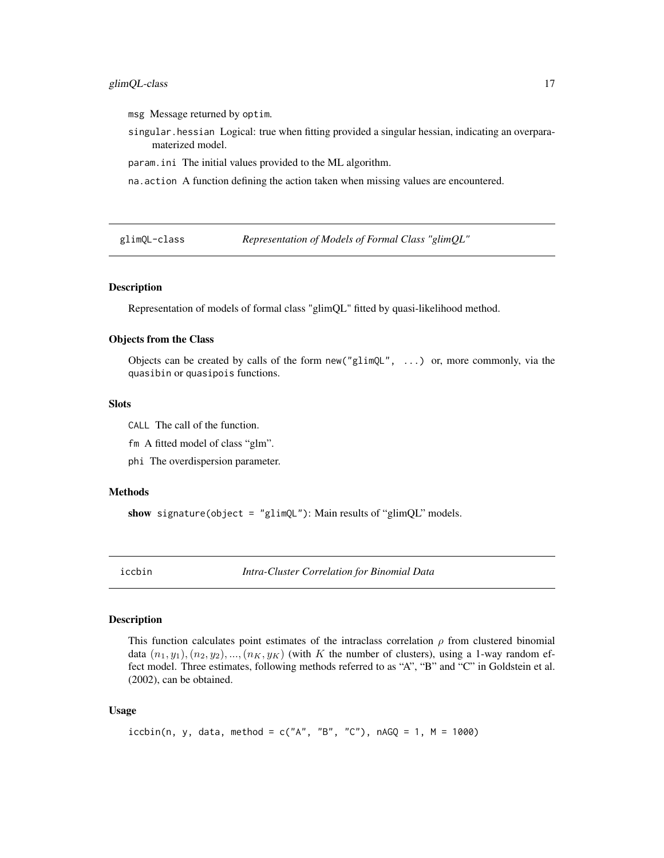<span id="page-16-0"></span>msg Message returned by optim.

singular.hessian Logical: true when fitting provided a singular hessian, indicating an overparamaterized model.

param.ini The initial values provided to the ML algorithm.

na.action A function defining the action taken when missing values are encountered.

<span id="page-16-2"></span>glimQL-class *Representation of Models of Formal Class "glimQL"*

#### Description

Representation of models of formal class "glimQL" fitted by quasi-likelihood method.

# Objects from the Class

Objects can be created by calls of the form new ("glimQL",  $\dots$ ) or, more commonly, via the quasibin or quasipois functions.

# **Slots**

CALL The call of the function.

fm A fitted model of class "glm".

phi The overdispersion parameter.

#### Methods

show signature(object = "glim $QL$ "): Main results of "glim $QL$ " models.

<span id="page-16-1"></span>iccbin *Intra-Cluster Correlation for Binomial Data*

# Description

This function calculates point estimates of the intraclass correlation  $\rho$  from clustered binomial data  $(n_1, y_1), (n_2, y_2), ..., (n_K, y_K)$  (with K the number of clusters), using a 1-way random effect model. Three estimates, following methods referred to as "A", "B" and "C" in Goldstein et al. (2002), can be obtained.

# Usage

```
iccbin(n, y, data, method = c("A", "B", "C"), nAGQ = 1, M = 1000)
```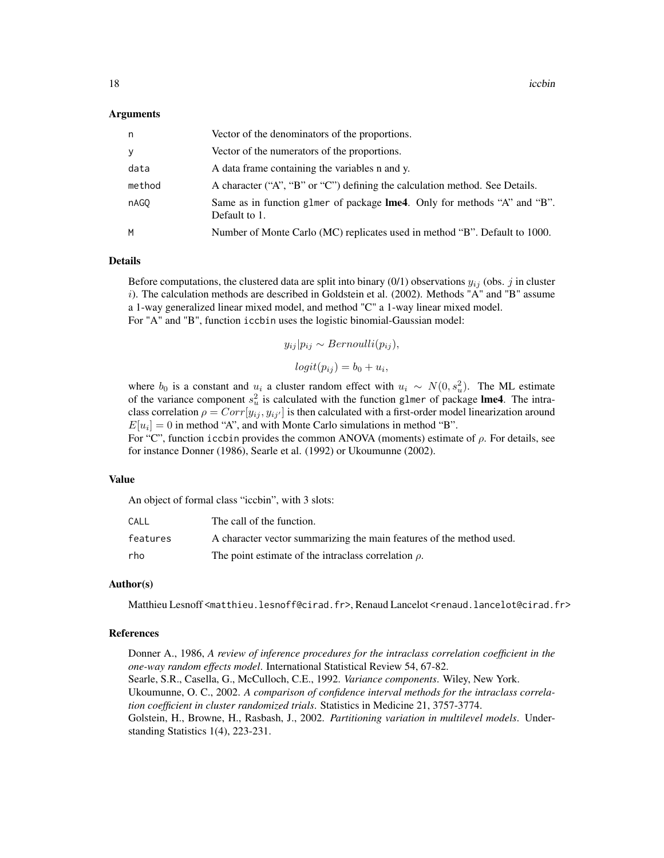#### Arguments

| n      | Vector of the denominators of the proportions.                                                    |
|--------|---------------------------------------------------------------------------------------------------|
| У      | Vector of the numerators of the proportions.                                                      |
| data   | A data frame containing the variables n and y.                                                    |
| method | A character ("A", "B" or "C") defining the calculation method. See Details.                       |
| nAGO   | Same as in function glmer of package <b>lme4</b> . Only for methods "A" and "B".<br>Default to 1. |
| м      | Number of Monte Carlo (MC) replicates used in method "B". Default to 1000.                        |

# Details

Before computations, the clustered data are split into binary (0/1) observations  $y_{ij}$  (obs. j in cluster i). The calculation methods are described in Goldstein et al. (2002). Methods "A" and "B" assume a 1-way generalized linear mixed model, and method "C" a 1-way linear mixed model. For "A" and "B", function iccbin uses the logistic binomial-Gaussian model:

$$
y_{ij}|p_{ij} \sim Bernoulli(p_{ij}),
$$
  

$$
logit(p_{ij}) = b_0 + u_i,
$$

where  $b_0$  is a constant and  $u_i$  a cluster random effect with  $u_i \sim N(0, s_u^2)$ . The ML estimate of the variance component  $s_u^2$  is calculated with the function glmer of package lme4. The intraclass correlation  $\rho = Corr[y_{ij}, y_{ij'}]$  is then calculated with a first-order model linearization around  $E[u_i] = 0$  in method "A", and with Monte Carlo simulations in method "B".

For "C", function iccbin provides the common ANOVA (moments) estimate of  $\rho$ . For details, see for instance Donner (1986), Searle et al. (1992) or Ukoumunne (2002).

#### Value

An object of formal class "iccbin", with 3 slots:

| CALL     | The call of the function.                                            |
|----------|----------------------------------------------------------------------|
| features | A character vector summarizing the main features of the method used. |
| rho      | The point estimate of the intraclass correlation $\rho$ .            |

# Author(s)

Matthieu Lesnoff <matthieu.lesnoff@cirad.fr>, Renaud Lancelot <renaud.lancelot@cirad.fr>

#### References

Donner A., 1986, *A review of inference procedures for the intraclass correlation coefficient in the one-way random effects model*. International Statistical Review 54, 67-82. Searle, S.R., Casella, G., McCulloch, C.E., 1992. *Variance components*. Wiley, New York. Ukoumunne, O. C., 2002. *A comparison of confidence interval methods for the intraclass correlation coefficient in cluster randomized trials*. Statistics in Medicine 21, 3757-3774. Golstein, H., Browne, H., Rasbash, J., 2002. *Partitioning variation in multilevel models*. Understanding Statistics 1(4), 223-231.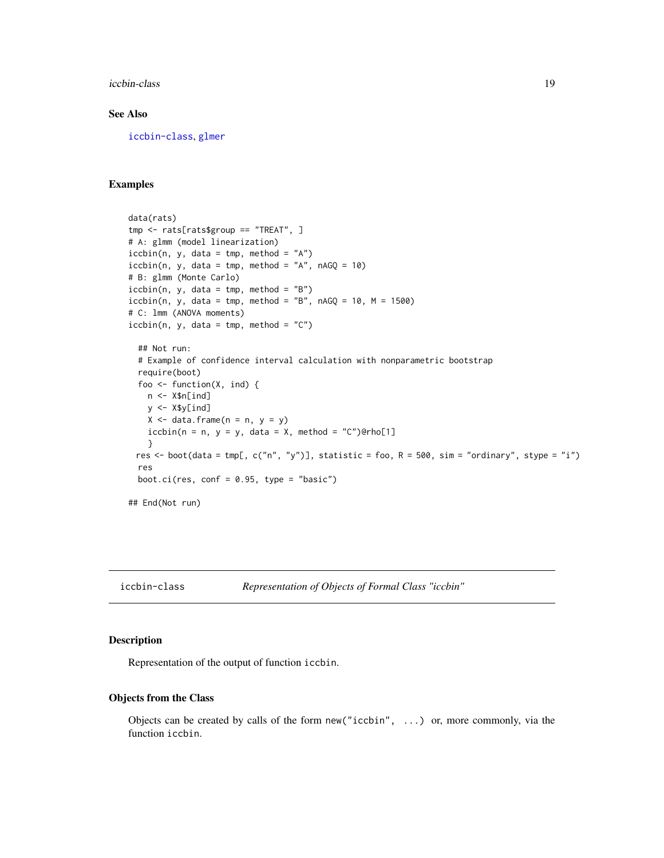<span id="page-18-0"></span>iccbin-class 19

# See Also

[iccbin-class](#page-18-1), [glmer](#page-0-0)

# Examples

```
data(rats)
tmp <- rats[rats$group == "TREAT", ]
# A: glmm (model linearization)
iccbin(n, y, data = tmp, method = "A")iccbin(n, y, data = tmp, method = "A", nAGQ = 10)# B: glmm (Monte Carlo)
iccbin(n, y, data = tmp, method = "B")iccbin(n, y, data = tmp, method = "B", nAGQ = 10, M = 1500)# C: lmm (ANOVA moments)
iccbin(n, y, data = tmp, method = "C")## Not run:
  # Example of confidence interval calculation with nonparametric bootstrap
  require(boot)
  foo \leq function(X, ind) {
   n <- X$n[ind]
   y <- X$y[ind]
   X \leq - data.frame(n = n, y = y)
   iccbin(n = n, y = y, data = X, method = "C")@rho[1]}
 res <- boot(data = tmp[, c("n", "y")], statistic = foo, R = 500, sim = "ordinary", stype = "i")
  res
  boot.ci(res, conf = 0.95, type = "basic")
## End(Not run)
```
<span id="page-18-1"></span>iccbin-class *Representation of Objects of Formal Class "iccbin"*

# Description

Representation of the output of function iccbin.

# Objects from the Class

Objects can be created by calls of the form new("iccbin", ...) or, more commonly, via the function iccbin.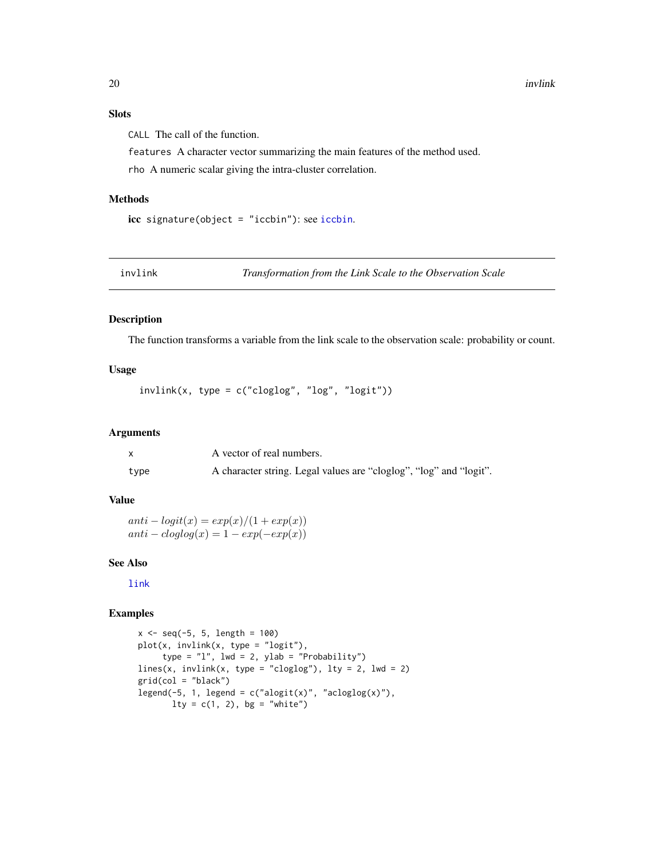<span id="page-19-0"></span>20 invlink

# Slots

CALL The call of the function.

features A character vector summarizing the main features of the method used.

rho A numeric scalar giving the intra-cluster correlation.

# Methods

icc signature(object = "iccbin"): see [iccbin](#page-16-1).

<span id="page-19-1"></span>

invlink *Transformation from the Link Scale to the Observation Scale*

# Description

The function transforms a variable from the link scale to the observation scale: probability or count.

# Usage

```
invlink(x, type = c("cloglog", "log", "logit"))
```
# Arguments

|      | A vector of real numbers.                                          |
|------|--------------------------------------------------------------------|
| type | A character string. Legal values are "cloglog", "log" and "logit". |

# Value

```
anti - logit(x) = exp(x)/(1 + exp(x))anti-cloglog(x) = 1 - exp(-exp(x))
```
# See Also

[link](#page-20-1)

# Examples

```
x \leq -\text{seq}(-5, 5, \text{ length} = 100)plot(x, invlink(x, type = "logit"),type = "l", \text{ lwd} = 2, \text{ ylab} = "Probability")lines(x, invlink(x, type = "cloglog"), lty = 2, lwd = 2)
grid(col = "black")
legend(-5, 1, legend = c("alogit(x)", "acloglog(x)"),
       lty = c(1, 2), bg = "white")
```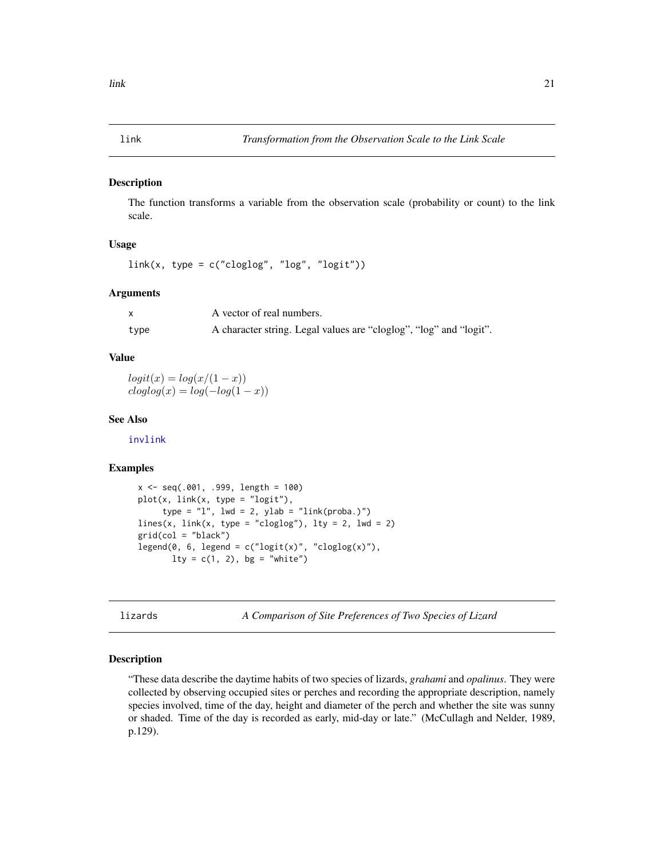<span id="page-20-1"></span><span id="page-20-0"></span>The function transforms a variable from the observation scale (probability or count) to the link scale.

# Usage

 $link(x, type = c("cloglog", "log", "logit"))$ 

# Arguments

|      | A vector of real numbers.                                          |
|------|--------------------------------------------------------------------|
| type | A character string. Legal values are "cloglog", "log" and "logit". |

# Value

 $logit(x) = log(x/(1-x))$  $cloglog(x) = log(-log(1-x))$ 

#### See Also

[invlink](#page-19-1)

# Examples

```
x <- seq(.001, .999, length = 100)
plot(x, link(x, type = "logit"),
    type = "1", lwd = 2, ylab = "link(proba.)"lines(x, link(x, type = "cloglog"), lty = 2, lwd = 2)grid(col = "black")legend(0, 6, legend = c("logit(x)", "cloglog(x)"),lty = c(1, 2), bg = "white")
```
lizards *A Comparison of Site Preferences of Two Species of Lizard*

#### Description

"These data describe the daytime habits of two species of lizards, *grahami* and *opalinus*. They were collected by observing occupied sites or perches and recording the appropriate description, namely species involved, time of the day, height and diameter of the perch and whether the site was sunny or shaded. Time of the day is recorded as early, mid-day or late." (McCullagh and Nelder, 1989, p.129).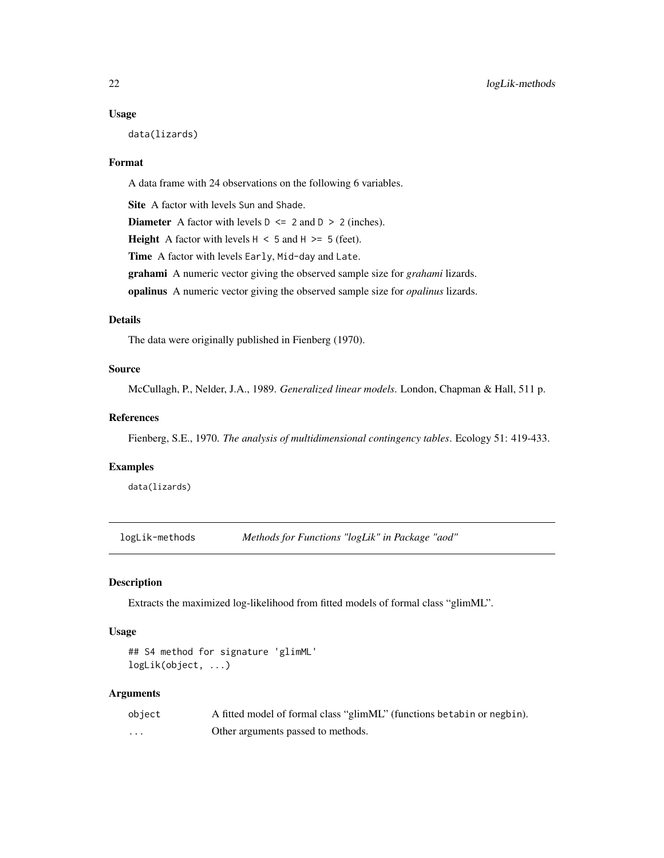#### Usage

data(lizards)

# Format

A data frame with 24 observations on the following 6 variables.

Site A factor with levels Sun and Shade.

**Diameter** A factor with levels  $D \le 2$  and  $D > 2$  (inches).

**Height** A factor with levels  $H \le 5$  and  $H \ge 5$  (feet).

Time A factor with levels Early, Mid-day and Late.

grahami A numeric vector giving the observed sample size for *grahami* lizards.

opalinus A numeric vector giving the observed sample size for *opalinus* lizards.

# Details

The data were originally published in Fienberg (1970).

# Source

McCullagh, P., Nelder, J.A., 1989. *Generalized linear models*. London, Chapman & Hall, 511 p.

# References

Fienberg, S.E., 1970. *The analysis of multidimensional contingency tables*. Ecology 51: 419-433.

# Examples

data(lizards)

logLik-methods *Methods for Functions "logLik" in Package "aod"*

#### Description

Extracts the maximized log-likelihood from fitted models of formal class "glimML".

#### Usage

```
## S4 method for signature 'glimML'
logLik(object, ...)
```
# Arguments

| object | A fitted model of formal class "glimML" (functions betabin or negbin). |
|--------|------------------------------------------------------------------------|
| .      | Other arguments passed to methods.                                     |

<span id="page-21-0"></span>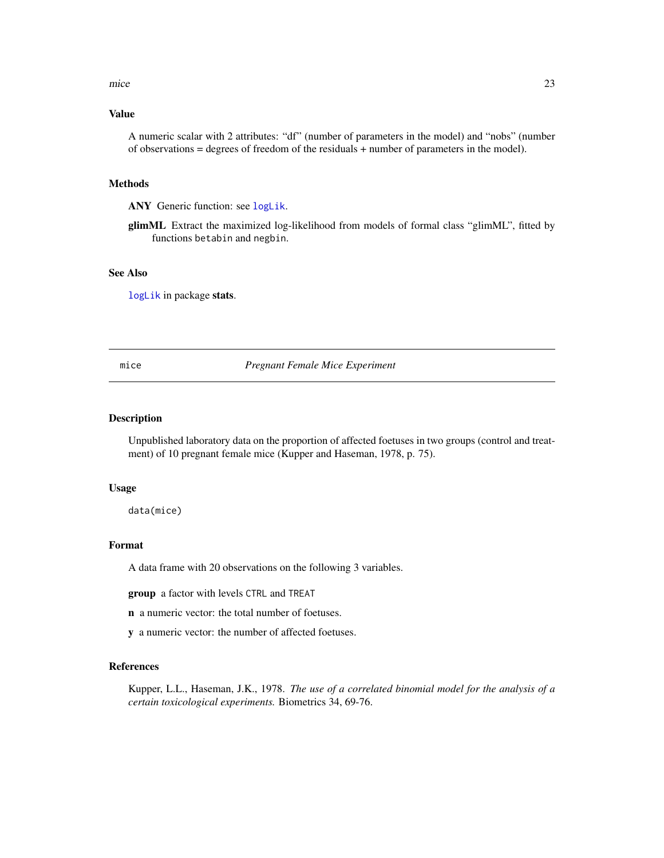<span id="page-22-0"></span>mice 23

# Value

A numeric scalar with 2 attributes: "df" (number of parameters in the model) and "nobs" (number of observations = degrees of freedom of the residuals + number of parameters in the model).

#### Methods

ANY Generic function: see [logLik](#page-0-0).

glimML Extract the maximized log-likelihood from models of formal class "glimML", fitted by functions betabin and negbin.

# See Also

[logLik](#page-0-0) in package stats.

# mice *Pregnant Female Mice Experiment*

# Description

Unpublished laboratory data on the proportion of affected foetuses in two groups (control and treatment) of 10 pregnant female mice (Kupper and Haseman, 1978, p. 75).

# Usage

data(mice)

# Format

A data frame with 20 observations on the following 3 variables.

group a factor with levels CTRL and TREAT

- n a numeric vector: the total number of foetuses.
- y a numeric vector: the number of affected foetuses.

# References

Kupper, L.L., Haseman, J.K., 1978. *The use of a correlated binomial model for the analysis of a certain toxicological experiments.* Biometrics 34, 69-76.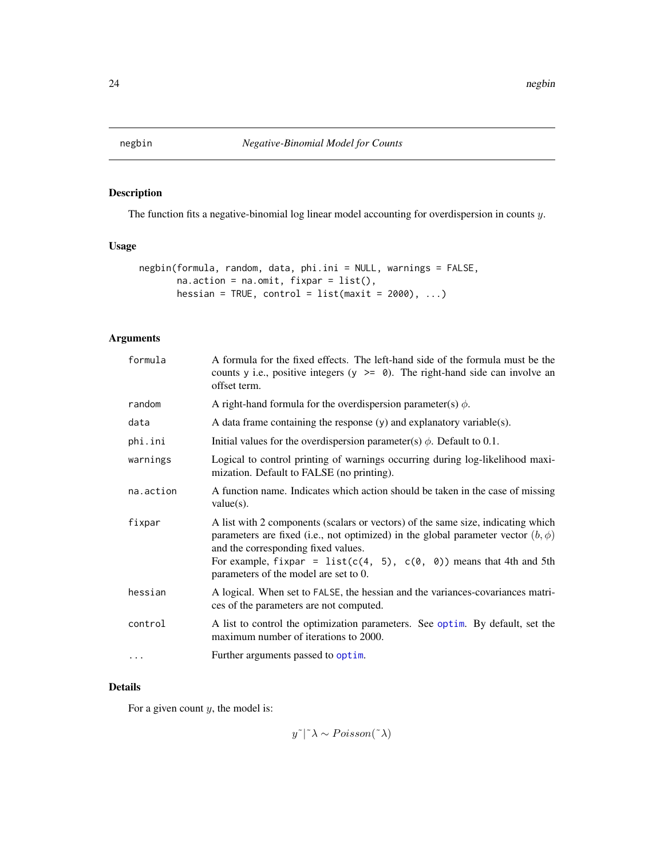<span id="page-23-1"></span><span id="page-23-0"></span>

The function fits a negative-binomial log linear model accounting for overdispersion in counts y.

# Usage

```
negbin(formula, random, data, phi.ini = NULL, warnings = FALSE,
      na.action = na.omit, fixpar = list(),
      hessian = TRUE, control = list(maxit = 2000), ...
```
# Arguments

| formula   | A formula for the fixed effects. The left-hand side of the formula must be the<br>counts y i.e., positive integers ( $y \ge 0$ ). The right-hand side can involve an<br>offset term.                                                                                                                                               |
|-----------|------------------------------------------------------------------------------------------------------------------------------------------------------------------------------------------------------------------------------------------------------------------------------------------------------------------------------------|
| random    | A right-hand formula for the overdispersion parameter(s) $\phi$ .                                                                                                                                                                                                                                                                  |
| data      | A data frame containing the response $(y)$ and explanatory variable $(s)$ .                                                                                                                                                                                                                                                        |
| phi.ini   | Initial values for the overdispersion parameter(s) $\phi$ . Default to 0.1.                                                                                                                                                                                                                                                        |
| warnings  | Logical to control printing of warnings occurring during log-likelihood maxi-<br>mization. Default to FALSE (no printing).                                                                                                                                                                                                         |
| na.action | A function name. Indicates which action should be taken in the case of missing<br>$value(s)$ .                                                                                                                                                                                                                                     |
| fixpar    | A list with 2 components (scalars or vectors) of the same size, indicating which<br>parameters are fixed (i.e., not optimized) in the global parameter vector $(b, \phi)$<br>and the corresponding fixed values.<br>For example, $fixpar = list(c(4, 5), c(0, 0))$ means that 4th and 5th<br>parameters of the model are set to 0. |
| hessian   | A logical. When set to FALSE, the hessian and the variances-covariances matri-<br>ces of the parameters are not computed.                                                                                                                                                                                                          |
| control   | A list to control the optimization parameters. See optim. By default, set the<br>maximum number of iterations to 2000.                                                                                                                                                                                                             |
|           | Further arguments passed to optim.                                                                                                                                                                                                                                                                                                 |

# Details

For a given count  $y$ , the model is:

 $y^{\sim}|\tilde{\lambda} \sim Poisson(\tilde{\lambda})$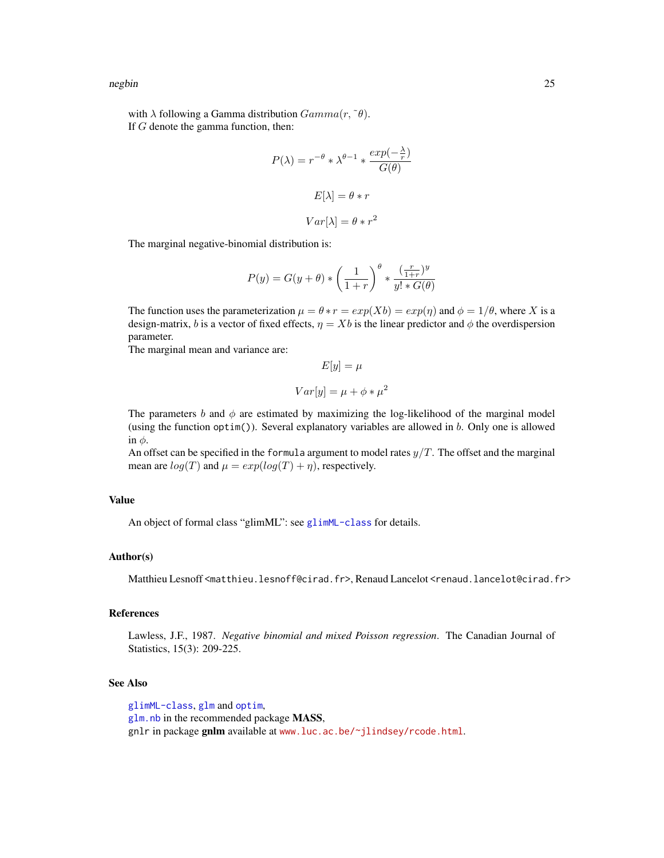<span id="page-24-0"></span>negbin 25

with  $\lambda$  following a Gamma distribution  $Gamma(r, \tilde{\theta})$ . If G denote the gamma function, then:

$$
P(\lambda) = r^{-\theta} * \lambda^{\theta - 1} * \frac{exp(-\frac{\lambda}{r})}{G(\theta)}
$$

$$
E[\lambda] = \theta * r
$$

$$
Var[\lambda] = \theta * r^2
$$

The marginal negative-binomial distribution is:

$$
P(y) = G(y + \theta) * \left(\frac{1}{1+r}\right)^{\theta} * \frac{(\frac{r}{1+r})^y}{y! * G(\theta)}
$$

The function uses the parameterization  $\mu = \theta * r = exp(Xb) = exp(\eta)$  and  $\phi = 1/\theta$ , where X is a design-matrix, b is a vector of fixed effects,  $\eta = Xb$  is the linear predictor and  $\phi$  the overdispersion parameter.

The marginal mean and variance are:

$$
E[y] = \mu
$$

$$
Var[y] = \mu + \phi * \mu^2
$$

The parameters b and  $\phi$  are estimated by maximizing the log-likelihood of the marginal model (using the function optim()). Several explanatory variables are allowed in b. Only one is allowed in  $\phi$ .

An offset can be specified in the formula argument to model rates  $y/T$ . The offset and the marginal mean are  $log(T)$  and  $\mu = exp(log(T) + \eta)$ , respectively.

#### Value

An object of formal class "glimML": see [glimML-class](#page-15-1) for details.

#### Author(s)

Matthieu Lesnoff <matthieu.lesnoff@cirad.fr>, Renaud Lancelot <renaud.lancelot@cirad.fr>

# References

Lawless, J.F., 1987. *Negative binomial and mixed Poisson regression*. The Canadian Journal of Statistics, 15(3): 209-225.

# See Also

[glimML-class](#page-15-1), [glm](#page-0-0) and [optim](#page-0-0), [glm.nb](#page-0-0) in the recommended package MASS, gnlr in package gnlm available at <www.luc.ac.be/~jlindsey/rcode.html>.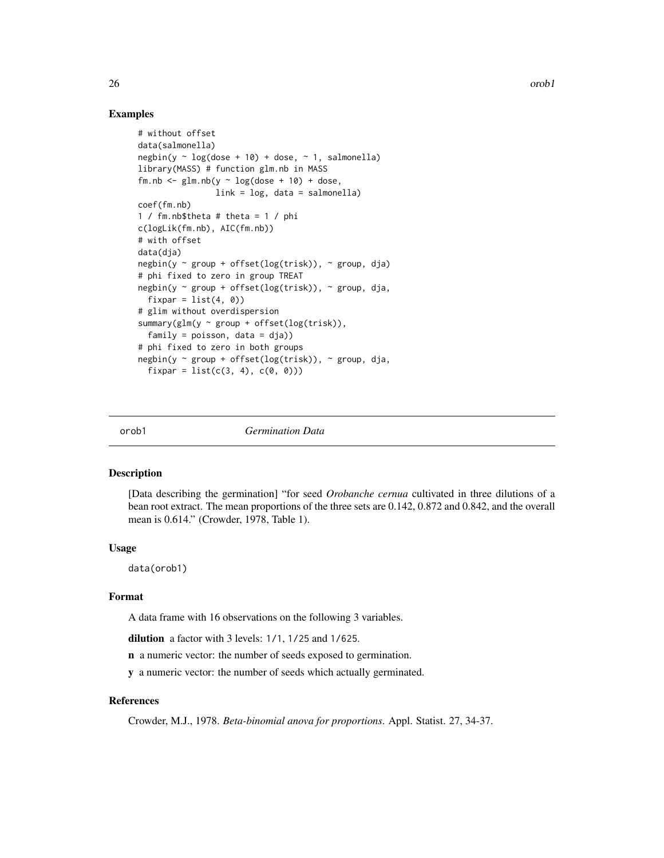# Examples

```
# without offset
data(salmonella)
negbin(y \sim log(dose + 10) + dose, \sim 1, salmonella)
library(MASS) # function glm.nb in MASS
fm.nb <- glm.nb(y - log(dose + 10) + dose,link = log, data = salmonella)
coef(fm.nb)
1 / fm.nb$theta # theta = 1 / phi
c(logLik(fm.nb), AIC(fm.nb))
# with offset
data(dja)
negbin(y ~ group + offset(log(trisk)), ~ group, dja)
# phi fixed to zero in group TREAT
negbin(y \sim group + offset(log(trisk)), \sim group, dja,fixpar = list(4, 0)# glim without overdispersion
summary(glm(y \sim group + offset(log(trisk)),
  family = poisson, data = dja))
# phi fixed to zero in both groups
negbin(y ~ group + offset(log(trisk)), ~ group, dja,
  fixpar = list(c(3, 4), c(0, 0)))
```
orob1 *Germination Data*

#### Description

[Data describing the germination] "for seed *Orobanche cernua* cultivated in three dilutions of a bean root extract. The mean proportions of the three sets are 0.142, 0.872 and 0.842, and the overall mean is 0.614." (Crowder, 1978, Table 1).

# Usage

data(orob1)

#### Format

A data frame with 16 observations on the following 3 variables.

dilution a factor with 3 levels:  $1/1$ ,  $1/25$  and  $1/625$ .

n a numeric vector: the number of seeds exposed to germination.

y a numeric vector: the number of seeds which actually germinated.

# References

Crowder, M.J., 1978. *Beta-binomial anova for proportions*. Appl. Statist. 27, 34-37.

<span id="page-25-0"></span>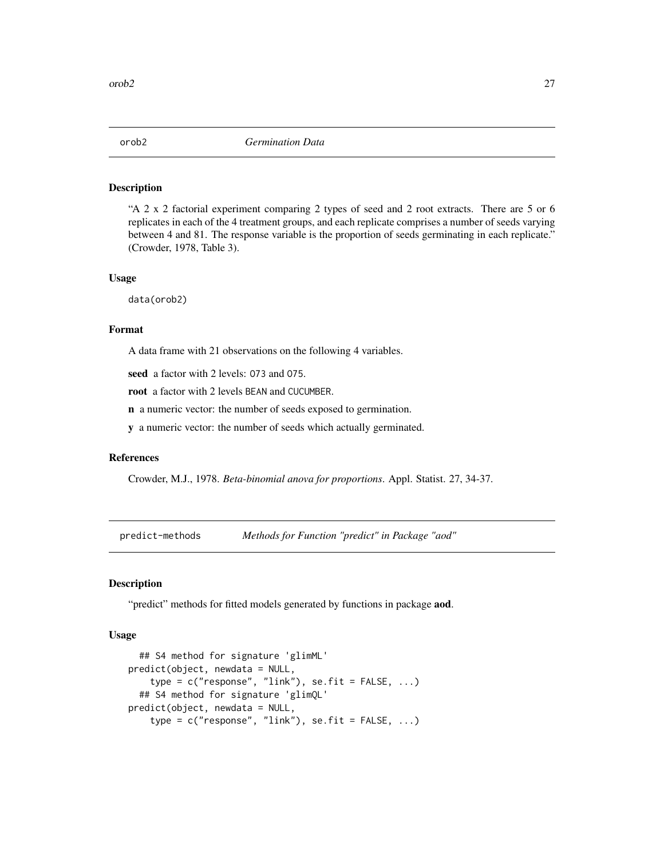<span id="page-26-0"></span>

"A 2 x 2 factorial experiment comparing 2 types of seed and 2 root extracts. There are 5 or 6 replicates in each of the 4 treatment groups, and each replicate comprises a number of seeds varying between 4 and 81. The response variable is the proportion of seeds germinating in each replicate." (Crowder, 1978, Table 3).

# Usage

data(orob2)

# Format

A data frame with 21 observations on the following 4 variables.

seed a factor with 2 levels: O73 and O75.

root a factor with 2 levels BEAN and CUCUMBER.

n a numeric vector: the number of seeds exposed to germination.

y a numeric vector: the number of seeds which actually germinated.

# References

Crowder, M.J., 1978. *Beta-binomial anova for proportions*. Appl. Statist. 27, 34-37.

predict-methods *Methods for Function "predict" in Package "aod"*

# Description

"predict" methods for fitted models generated by functions in package aod.

#### Usage

```
## S4 method for signature 'glimML'
predict(object, newdata = NULL,
    type = c("response", "link"), se.fit = FALSE, ...)## S4 method for signature 'glimQL'
predict(object, newdata = NULL,
    type = c("response", "link"), se.fit = FALSE, ...)
```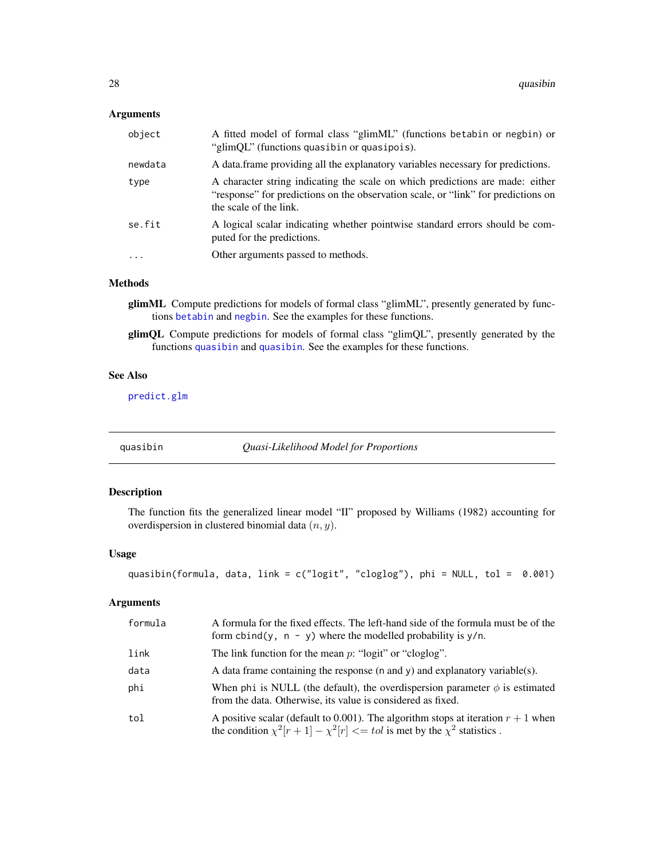# <span id="page-27-0"></span>Arguments

| object   | A fitted model of formal class "glimML" (functions betabin or negbin) or<br>"glimQL" (functions quasibin or quasipois).                                                                      |
|----------|----------------------------------------------------------------------------------------------------------------------------------------------------------------------------------------------|
| newdata  | A data. frame providing all the explanatory variables necessary for predictions.                                                                                                             |
| type     | A character string indicating the scale on which predictions are made: either<br>"response" for predictions on the observation scale, or "link" for predictions on<br>the scale of the link. |
| se.fit   | A logical scalar indicating whether pointwise standard errors should be com-<br>puted for the predictions.                                                                                   |
| $\cdots$ | Other arguments passed to methods.                                                                                                                                                           |
|          |                                                                                                                                                                                              |

# Methods

- glimML Compute predictions for models of formal class "glimML", presently generated by functions [betabin](#page-6-1) and [negbin](#page-23-1). See the examples for these functions.
- glimQL Compute predictions for models of formal class "glimQL", presently generated by the functions [quasibin](#page-27-1) and [quasibin](#page-27-1). See the examples for these functions.

# See Also

[predict.glm](#page-0-0)

<span id="page-27-1"></span>quasibin *Quasi-Likelihood Model for Proportions*

# Description

The function fits the generalized linear model "II" proposed by Williams (1982) accounting for overdispersion in clustered binomial data  $(n, y)$ .

# Usage

```
quasibin(formula, data, link = c("logit", "cloglog"), phi = NULL, tol = 0.001)
```
# Arguments

| formula | A formula for the fixed effects. The left-hand side of the formula must be of the<br>form cbind(y, $n - y$ ) where the modelled probability is y/n.                             |
|---------|---------------------------------------------------------------------------------------------------------------------------------------------------------------------------------|
| link    | The link function for the mean $p$ : "logit" or "cloglog".                                                                                                                      |
| data    | A data frame containing the response ( $n$ and $y$ ) and explanatory variable( $s$ ).                                                                                           |
| phi     | When phi is NULL (the default), the overdispersion parameter $\phi$ is estimated<br>from the data. Otherwise, its value is considered as fixed.                                 |
| tol     | A positive scalar (default to 0.001). The algorithm stops at iteration $r + 1$ when<br>the condition $\chi^2[r+1]-\chi^2[r] \leq \pm \omega$ is met by the $\chi^2$ statistics. |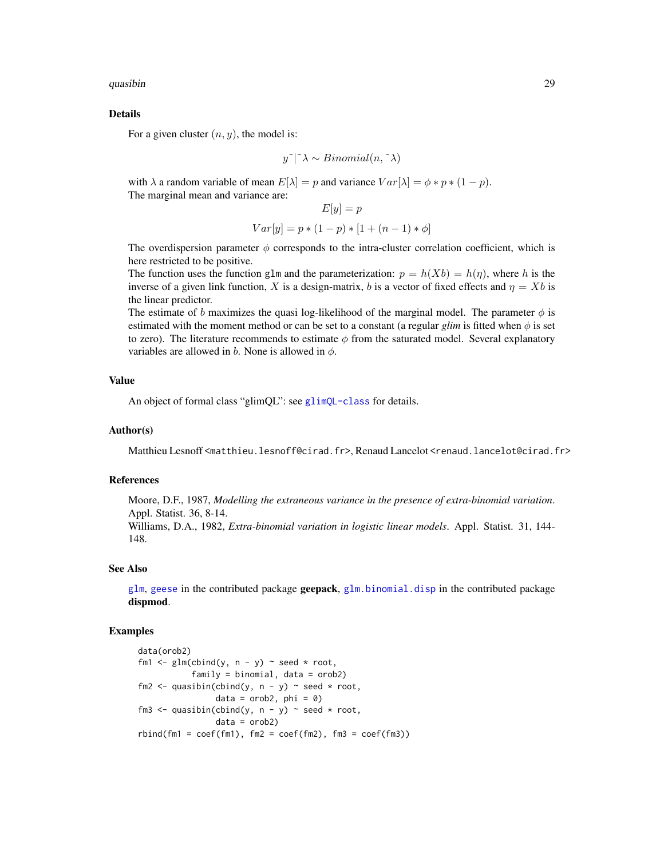#### <span id="page-28-0"></span>quasibin 29

# Details

For a given cluster  $(n, y)$ , the model is:

$$
y^{\sim}|\tilde{\lambda} \sim Binomial(n, \tilde{\lambda})
$$

with  $\lambda$  a random variable of mean  $E[\lambda] = p$  and variance  $Var[\lambda] = \phi * p * (1 - p)$ . The marginal mean and variance are:

$$
E[y] = p
$$

$$
Var[y] = p * (1 - p) * [1 + (n - 1) * \phi]
$$

The overdispersion parameter  $\phi$  corresponds to the intra-cluster correlation coefficient, which is here restricted to be positive.

The function uses the function glm and the parameterization:  $p = h(Xb) = h(\eta)$ , where h is the inverse of a given link function, X is a design-matrix, b is a vector of fixed effects and  $\eta = Xb$  is the linear predictor.

The estimate of b maximizes the quasi log-likelihood of the marginal model. The parameter  $\phi$  is estimated with the moment method or can be set to a constant (a regular *glim* is fitted when  $\phi$  is set to zero). The literature recommends to estimate  $\phi$  from the saturated model. Several explanatory variables are allowed in b. None is allowed in  $\phi$ .

# Value

An object of formal class "glimQL": see [glimQL-class](#page-16-2) for details.

#### Author(s)

Matthieu Lesnoff <matthieu.lesnoff@cirad.fr>, Renaud Lancelot <renaud.lancelot@cirad.fr>

#### References

Moore, D.F., 1987, *Modelling the extraneous variance in the presence of extra-binomial variation*. Appl. Statist. 36, 8-14.

Williams, D.A., 1982, *Extra-binomial variation in logistic linear models*. Appl. Statist. 31, 144- 148.

# See Also

[glm](#page-0-0), [geese](#page-0-0) in the contributed package geepack, [glm.binomial.disp](#page-0-0) in the contributed package dispmod.

# Examples

```
data(orob2)
fm1 <- glm(clny, n - y) ~ seed * root,
           family = binomial, data = orob2)
fm2 <- quasibin(cbind(y, n - y) \sim seed \star root,
                data = orob2, phi = 0)fm3 <- quasibin(cbind(y, n - y) \sim seed \star root,
                data = orob2)
rbind(fm1 = coef(fm1), fm2 = coef(fm2), fm3 = coef(fm3))
```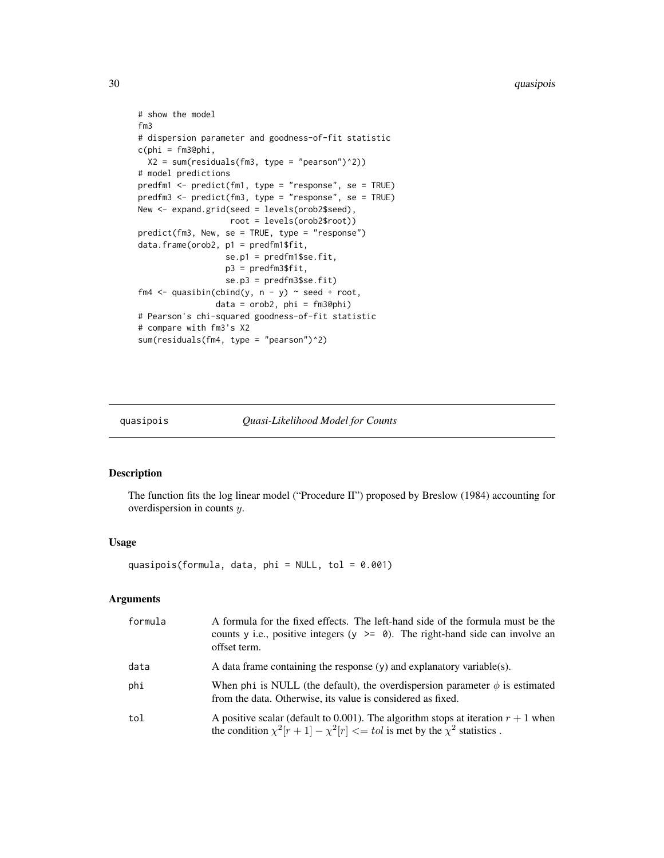```
# show the model
fm3
# dispersion parameter and goodness-of-fit statistic
c(\text{phi} = \text{fm3@phi},
 X2 = sum(residuals(fm3, type = "pearson")^2)# model predictions
predfm1 <- predict(fm1, type = "response", se = TRUE)
predfm3 <- predict(fm3, type = "response", se = TRUE)
New <- expand.grid(seed = levels(orob2$seed),
                   root = levels(orob2$root))
predict(fm3, New, se = TRUE, type = "response")
data.frame(orob2, p1 = predfm1$fit,
                  se.p1 = predfm1$se.fit,
                  p3 = predfm3$fit,
                  se.p3 = predfm3$se.fit)
fm4 \leftarrow quasibin(cbind(y, n - y) \sim seed + root,
                data = orob2, phi = fm3@phi)
# Pearson's chi-squared goodness-of-fit statistic
# compare with fm3's X2
sum(residuals(fm4, type = "pearson")^2)
```

```
quasipois Quasi-Likelihood Model for Counts
```
The function fits the log linear model ("Procedure II") proposed by Breslow (1984) accounting for overdispersion in counts y.

#### Usage

quasipois(formula, data, phi = NULL, tol = 0.001)

# Arguments

| formula | A formula for the fixed effects. The left-hand side of the formula must be the<br>counts y i.e., positive integers ( $y \ge 0$ ). The right-hand side can involve an<br>offset term. |
|---------|--------------------------------------------------------------------------------------------------------------------------------------------------------------------------------------|
| data    | A data frame containing the response $(y)$ and explanatory variable(s).                                                                                                              |
| phi     | When phi is NULL (the default), the overdispersion parameter $\phi$ is estimated<br>from the data. Otherwise, its value is considered as fixed.                                      |
| tol     | A positive scalar (default to 0.001). The algorithm stops at iteration $r + 1$ when<br>the condition $\chi^2[r+1]-\chi^2[r] \leq \pm \omega$ is met by the $\chi^2$ statistics.      |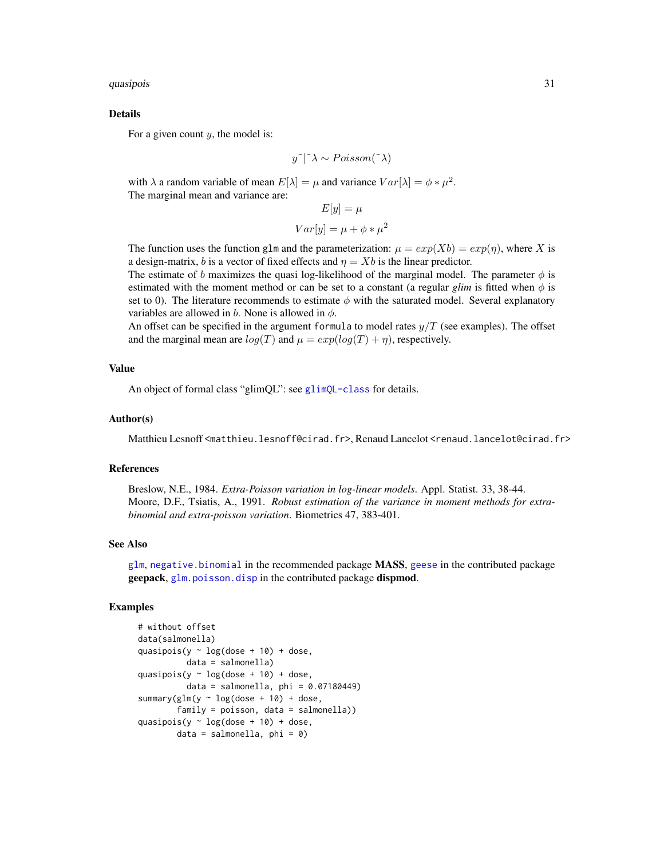#### <span id="page-30-0"></span>quasipois 31

#### Details

For a given count  $y$ , the model is:

$$
y^{\sim}|\tilde{\lambda} \sim Poisson(\tilde{\lambda})
$$

with  $\lambda$  a random variable of mean  $E[\lambda] = \mu$  and variance  $Var[\lambda] = \phi * \mu^2$ . The marginal mean and variance are:

$$
E[y] = \mu
$$

$$
Var[y] = \mu + \phi * \mu^2
$$

The function uses the function glm and the parameterization:  $\mu = exp(Xb) = exp(\eta)$ , where X is a design-matrix, b is a vector of fixed effects and  $\eta = Xb$  is the linear predictor.

The estimate of b maximizes the quasi log-likelihood of the marginal model. The parameter  $\phi$  is estimated with the moment method or can be set to a constant (a regular *glim* is fitted when  $\phi$  is set to 0). The literature recommends to estimate  $\phi$  with the saturated model. Several explanatory variables are allowed in b. None is allowed in  $\phi$ .

An offset can be specified in the argument formula to model rates  $y/T$  (see examples). The offset and the marginal mean are  $log(T)$  and  $\mu = exp(log(T) + \eta)$ , respectively.

#### Value

An object of formal class "glimQL": see [glimQL-class](#page-16-2) for details.

#### Author(s)

Matthieu Lesnoff <matthieu.lesnoff@cirad.fr>, Renaud Lancelot <renaud.lancelot@cirad.fr>

#### References

Breslow, N.E., 1984. *Extra-Poisson variation in log-linear models*. Appl. Statist. 33, 38-44. Moore, D.F., Tsiatis, A., 1991. *Robust estimation of the variance in moment methods for extrabinomial and extra-poisson variation*. Biometrics 47, 383-401.

#### See Also

[glm](#page-0-0), [negative.binomial](#page-0-0) in the recommended package MASS, [geese](#page-0-0) in the contributed package geepack, [glm.poisson.disp](#page-0-0) in the contributed package dispmod.

# Examples

```
# without offset
data(salmonella)
quasipois(y \sim log(dose + 10) + dose,
          data = salmonella)
quasipois(y \sim log(dose + 10) + dose,
          data = salmonella, phi = 0.07180449)
summary(glm(y \sim log(dose + 10) + dose,family = poisson, data = salmonella))
quasipois(y \sim log(dose + 10) + dose,
        data = salmonella, phi = 0)
```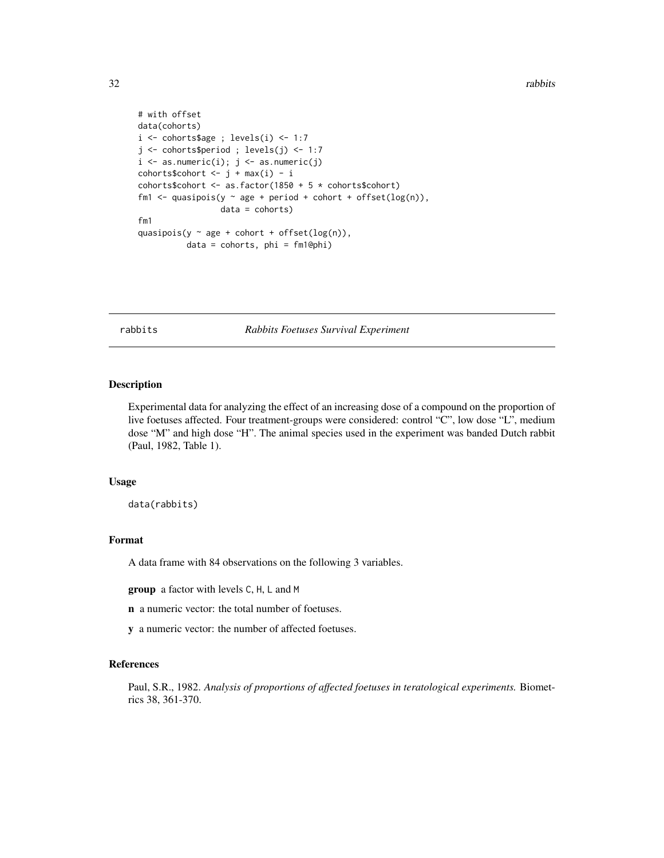#### 32 rabbits and the contract of the contract of the contract of the contract of the contract of the contract of the contract of the contract of the contract of the contract of the contract of the contract of the contract of

```
# with offset
data(cohorts)
i \leftarrow cohorts$age ; levels(i) <- 1:7
j <- cohorts$period ; levels(j) <- 1:7
i \leftarrow \text{as.numeric}(i); j \leftarrow \text{as.numeric}(j)cohorts$cohort \leq j + \max(i) - icohorts$cohort <- as.factor(1850 + 5 * cohorts$cohort)
fm1 <- quasipois(y \sim age + period + cohort + offset(log(n)),
                   data = cohorts)fm1
quasipois(y \sim age + cohort + offset(log(n)),
           data = cohorts, phi = fm1@phi)
```
# rabbits *Rabbits Foetuses Survival Experiment*

## Description

Experimental data for analyzing the effect of an increasing dose of a compound on the proportion of live foetuses affected. Four treatment-groups were considered: control "C", low dose "L", medium dose "M" and high dose "H". The animal species used in the experiment was banded Dutch rabbit (Paul, 1982, Table 1).

#### Usage

data(rabbits)

#### Format

A data frame with 84 observations on the following 3 variables.

group a factor with levels C, H, L and M

- n a numeric vector: the total number of foetuses.
- y a numeric vector: the number of affected foetuses.

# References

Paul, S.R., 1982. *Analysis of proportions of affected foetuses in teratological experiments.* Biometrics 38, 361-370.

<span id="page-31-0"></span>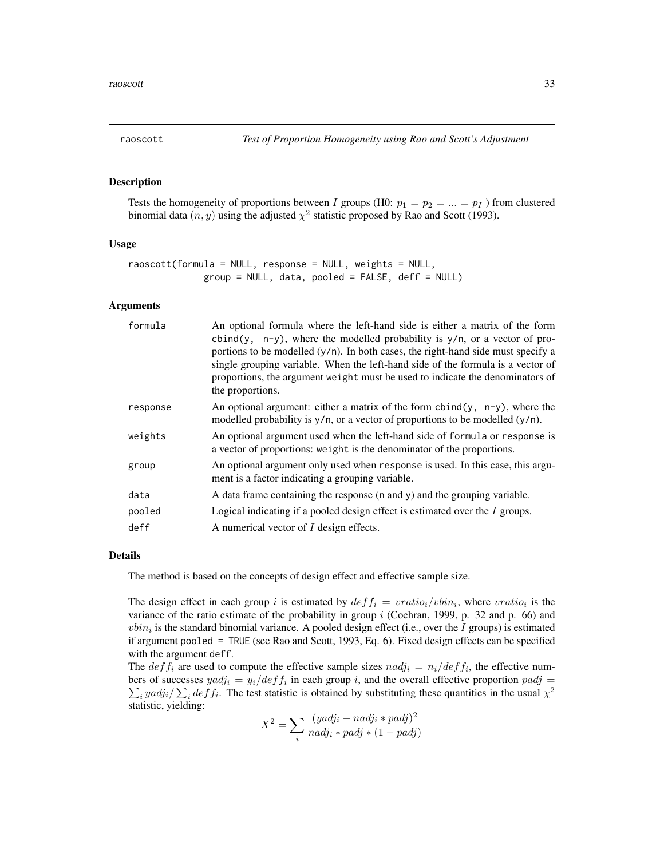<span id="page-32-1"></span><span id="page-32-0"></span>

Tests the homogeneity of proportions between I groups (H0:  $p_1 = p_2 = ... = p_I$ ) from clustered binomial data  $(n, y)$  using the adjusted  $\chi^2$  statistic proposed by Rao and Scott (1993).

#### Usage

```
raoscott(formula = NULL, response = NULL, weights = NULL,
             group = NULL, data, pooled = FALSE, deff = NULL)
```
# Arguments

| formula  | An optional formula where the left-hand side is either a matrix of the form<br>cbind(y, n-y), where the modelled probability is $y/n$ , or a vector of pro-<br>portions to be modelled $(y/n)$ . In both cases, the right-hand side must specify a<br>single grouping variable. When the left-hand side of the formula is a vector of<br>proportions, the argument weight must be used to indicate the denominators of<br>the proportions. |
|----------|--------------------------------------------------------------------------------------------------------------------------------------------------------------------------------------------------------------------------------------------------------------------------------------------------------------------------------------------------------------------------------------------------------------------------------------------|
| response | An optional argument: either a matrix of the form $\text{cbind}(y, n-y)$ , where the<br>modelled probability is $y/n$ , or a vector of proportions to be modelled $(y/n)$ .                                                                                                                                                                                                                                                                |
| weights  | An optional argument used when the left-hand side of formula or response is<br>a vector of proportions: weight is the denominator of the proportions.                                                                                                                                                                                                                                                                                      |
| group    | An optional argument only used when response is used. In this case, this argu-<br>ment is a factor indicating a grouping variable.                                                                                                                                                                                                                                                                                                         |
| data     | A data frame containing the response (n and y) and the grouping variable.                                                                                                                                                                                                                                                                                                                                                                  |
| pooled   | Logical indicating if a pooled design effect is estimated over the $I$ groups.                                                                                                                                                                                                                                                                                                                                                             |
| deff     | A numerical vector of I design effects.                                                                                                                                                                                                                                                                                                                                                                                                    |

# Details

The method is based on the concepts of design effect and effective sample size.

The design effect in each group i is estimated by  $deff_i = \text{vratio}_i/\text{vbin}_i$ , where  $\text{vratio}_i$  is the variance of the ratio estimate of the probability in group  $i$  (Cochran, 1999, p. 32 and p. 66) and  $vbin_i$  is the standard binomial variance. A pooled design effect (i.e., over the I groups) is estimated if argument pooled = TRUE (see Rao and Scott, 1993, Eq. 6). Fixed design effects can be specified with the argument deff.

The  $def_i$  are used to compute the effective sample sizes  $nadj_i = n_i/def_j$ , the effective numbers of successes  $yadj_i = y_i/def f_i$  in each group i, and the overall effective proportion  $padj =$  $\sum_i \frac{y}{i} \int \sum_i \frac{deff_i}{\sum_i}$ . The test statistic is obtained by substituting these quantities in the usual  $\chi^2$ statistic, yielding:

$$
X^{2} = \sum_{i} \frac{(yadj_{i} - nadj_{i} * padj)^{2}}{nadj_{i} * padj * (1 - padj)}
$$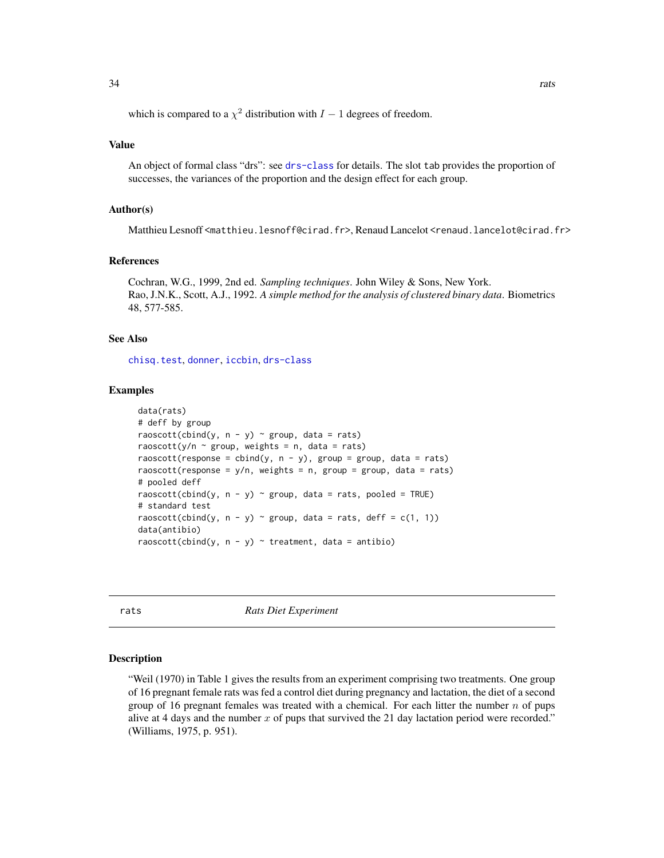<span id="page-33-0"></span>which is compared to a  $\chi^2$  distribution with  $I-1$  degrees of freedom.

# Value

An object of formal class "drs": see [drs-class](#page-14-1) for details. The slot tab provides the proportion of successes, the variances of the proportion and the design effect for each group.

# Author(s)

Matthieu Lesnoff <matthieu.lesnoff@cirad.fr>, Renaud Lancelot <renaud.lancelot@cirad.fr>

# References

Cochran, W.G., 1999, 2nd ed. *Sampling techniques*. John Wiley & Sons, New York. Rao, J.N.K., Scott, A.J., 1992. *A simple method for the analysis of clustered binary data*. Biometrics 48, 577-585.

# See Also

[chisq.test](#page-0-0), [donner](#page-12-1), [iccbin](#page-16-1), [drs-class](#page-14-1)

#### Examples

```
data(rats)
# deff by group
raoscott(cbind(y, n - y) ~ group, data = rats)
raoscott(y/n \sim group, weights = n, data = rats)
raoscott(response = cbind(y, n - y), group = group, data = rats)
raoscott(response = y/n, weights = n, group = group, data = rats)
# pooled deff
raoscott(cbind(y, n - y) \sim group, data = rats, pooled = TRUE)
# standard test
raoscott(cbind(y, n - y) ~ group, data = rats, deff = c(1, 1))
data(antibio)
raoscott(cbind(y, n - y) \sim treatment, data = antibio)
```
rats *Rats Diet Experiment*

#### Description

"Weil (1970) in Table 1 gives the results from an experiment comprising two treatments. One group of 16 pregnant female rats was fed a control diet during pregnancy and lactation, the diet of a second group of 16 pregnant females was treated with a chemical. For each litter the number  $n$  of pups alive at 4 days and the number x of pups that survived the 21 day lactation period were recorded." (Williams, 1975, p. 951).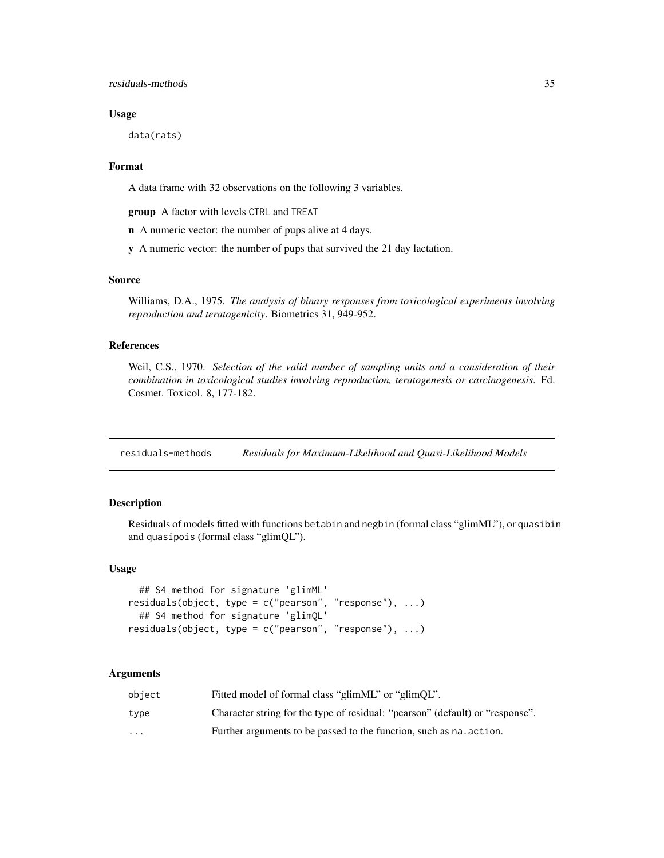# <span id="page-34-0"></span>residuals-methods 35

# Usage

data(rats)

# Format

A data frame with 32 observations on the following 3 variables.

group A factor with levels CTRL and TREAT

n A numeric vector: the number of pups alive at 4 days.

y A numeric vector: the number of pups that survived the 21 day lactation.

# Source

Williams, D.A., 1975. *The analysis of binary responses from toxicological experiments involving reproduction and teratogenicity*. Biometrics 31, 949-952.

# References

Weil, C.S., 1970. *Selection of the valid number of sampling units and a consideration of their combination in toxicological studies involving reproduction, teratogenesis or carcinogenesis*. Fd. Cosmet. Toxicol. 8, 177-182.

residuals-methods *Residuals for Maximum-Likelihood and Quasi-Likelihood Models*

#### Description

Residuals of models fitted with functions betabin and negbin (formal class "glimML"), or quasibin and quasipois (formal class "glimQL").

# Usage

```
## S4 method for signature 'glimML'
residuals(object, type = c("pearson", "response"), ...)
  ## S4 method for signature 'glimQL'
residuals(object, type = c("pearson", "response"), ...)
```
# Arguments

| object                  | Fitted model of formal class "glimML" or "glimQL".                            |
|-------------------------|-------------------------------------------------------------------------------|
| type                    | Character string for the type of residual: "pearson" (default) or "response". |
| $\cdot$ $\cdot$ $\cdot$ | Further arguments to be passed to the function, such as na. action.           |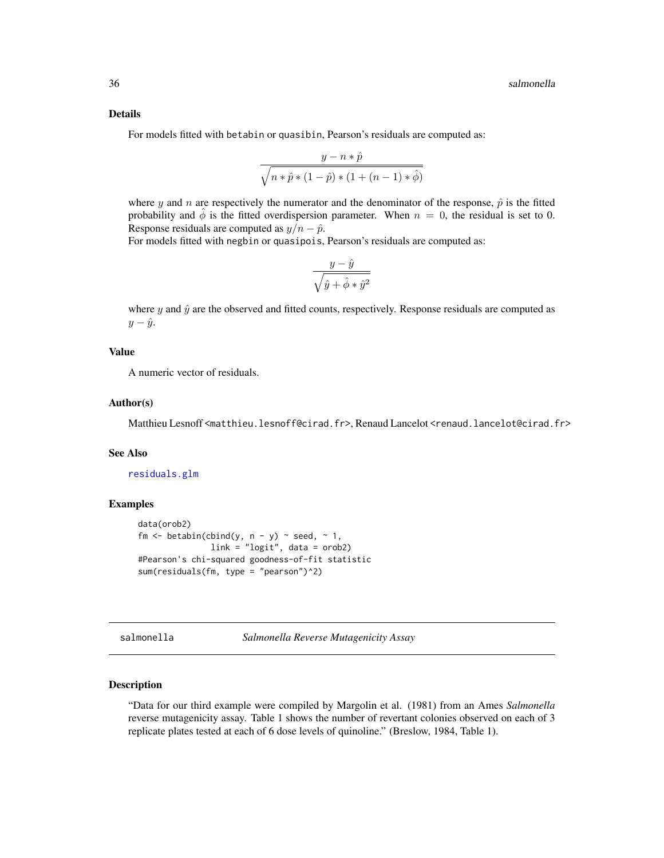# <span id="page-35-0"></span>Details

For models fitted with betabin or quasibin, Pearson's residuals are computed as:

$$
\frac{y-n*\hat{p}}{\sqrt{n*\hat{p}*(1-\hat{p})*(1+(n-1)*\hat{\phi})}}
$$

where y and n are respectively the numerator and the denominator of the response,  $\hat{p}$  is the fitted probability and  $\hat{\phi}$  is the fitted overdispersion parameter. When  $n = 0$ , the residual is set to 0. Response residuals are computed as  $y/n - \hat{p}$ .

For models fitted with negbin or quasipois, Pearson's residuals are computed as:

$$
\frac{y-\hat{y}}{\sqrt{\hat{y}+\hat{\phi}*\hat{y}^2}}
$$

where  $y$  and  $\hat{y}$  are the observed and fitted counts, respectively. Response residuals are computed as  $y - \hat{y}$ .

# Value

A numeric vector of residuals.

#### Author(s)

Matthieu Lesnoff <matthieu.lesnoff@cirad.fr>, Renaud Lancelot <renaud.lancelot@cirad.fr>

# See Also

[residuals.glm](#page-0-0)

# Examples

```
data(orob2)
fm \le betabin(cbind(y, n - y) \sim seed, \sim 1,
               link = "logit", data = orob2)#Pearson's chi-squared goodness-of-fit statistic
sum(residuals(fm, type = "pearson")^2)
```

```
salmonella Salmonella Reverse Mutagenicity Assay
```
# **Description**

"Data for our third example were compiled by Margolin et al. (1981) from an Ames *Salmonella* reverse mutagenicity assay. Table 1 shows the number of revertant colonies observed on each of 3 replicate plates tested at each of 6 dose levels of quinoline." (Breslow, 1984, Table 1).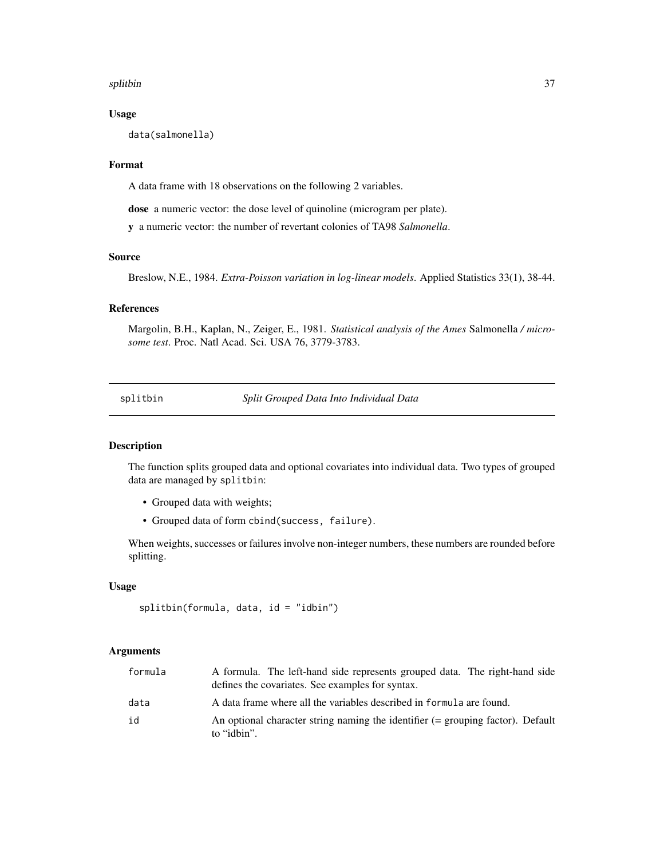#### <span id="page-36-0"></span>splitbin 37

# Usage

data(salmonella)

# Format

A data frame with 18 observations on the following 2 variables.

dose a numeric vector: the dose level of quinoline (microgram per plate).

y a numeric vector: the number of revertant colonies of TA98 *Salmonella*.

# Source

Breslow, N.E., 1984. *Extra-Poisson variation in log-linear models*. Applied Statistics 33(1), 38-44.

# References

Margolin, B.H., Kaplan, N., Zeiger, E., 1981. *Statistical analysis of the Ames* Salmonella */ microsome test*. Proc. Natl Acad. Sci. USA 76, 3779-3783.

splitbin *Split Grouped Data Into Individual Data*

# Description

The function splits grouped data and optional covariates into individual data. Two types of grouped data are managed by splitbin:

- Grouped data with weights;
- Grouped data of form cbind(success, failure).

When weights, successes or failures involve non-integer numbers, these numbers are rounded before splitting.

# Usage

```
splitbin(formula, data, id = "idbin")
```
# Arguments

| formula | A formula. The left-hand side represents grouped data. The right-hand side<br>defines the covariates. See examples for syntax. |
|---------|--------------------------------------------------------------------------------------------------------------------------------|
| data    | A data frame where all the variables described in formula are found.                                                           |
| id      | An optional character string naming the identifier $($ = grouping factor). Default<br>to "idbin".                              |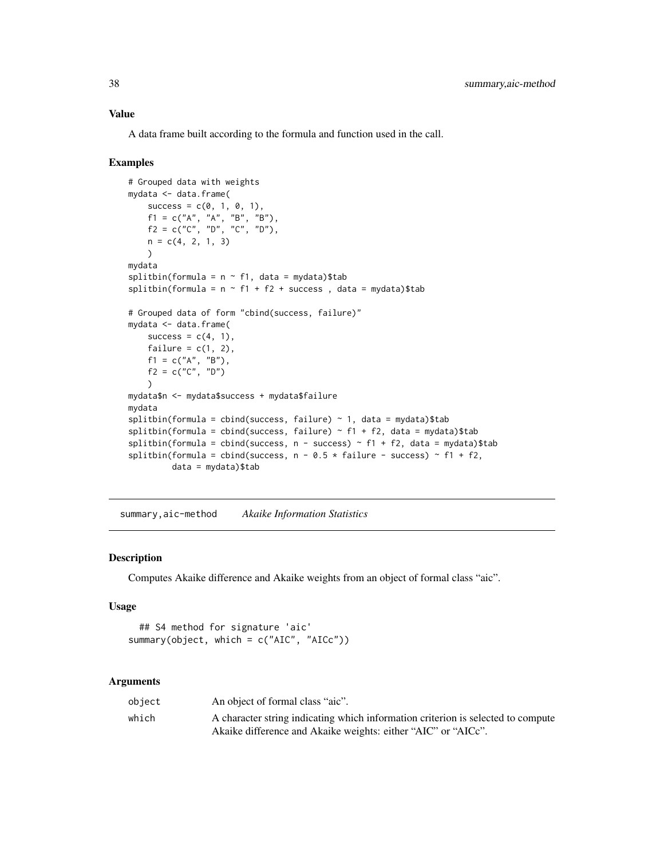# <span id="page-37-0"></span>Value

A data frame built according to the formula and function used in the call.

# Examples

```
# Grouped data with weights
mydata <- data.frame(
   success = c(0, 1, 0, 1),f1 = c("A", "A", "B", "B"),f2 = c("C", "D", "C", "D"),n = c(4, 2, 1, 3))
mydata
splitbin(formula = n \sim f1, data = mydata)$tab
splitbin(formula = n \sim f1 + f2 + success, data = mydata)$tab
# Grouped data of form "cbind(success, failure)"
mydata <- data.frame(
   success = c(4, 1),
   failure = c(1, 2),
   f1 = c("A", "B"),
   f2 = c("C", "D")\lambdamydata$n <- mydata$success + mydata$failure
mydata
splitbin(formula = cbind(success, failure) \sim 1, data = mydata)$tab
splitbin(formula = cbind(success, failure) \sim f1 + f2, data = mydata)$tab
splitbin(formula = cbind(success, n - success) \sim f1 + f2, data = mydata)$tab
splitbin(formula = cbind(success, n - 0.5 * failure - success) ~ f1 + f2,
         data = mydata)$tab
```
summary,aic-method *Akaike Information Statistics*

#### Description

Computes Akaike difference and Akaike weights from an object of formal class "aic".

# Usage

```
## S4 method for signature 'aic'
summary(object, which = c("AIC", "AICc"))
```
# Arguments

| object | An object of formal class "aic".                                                 |
|--------|----------------------------------------------------------------------------------|
| which  | A character string indicating which information criterion is selected to compute |
|        | Akaike difference and Akaike weights: either "AIC" or "AICc".                    |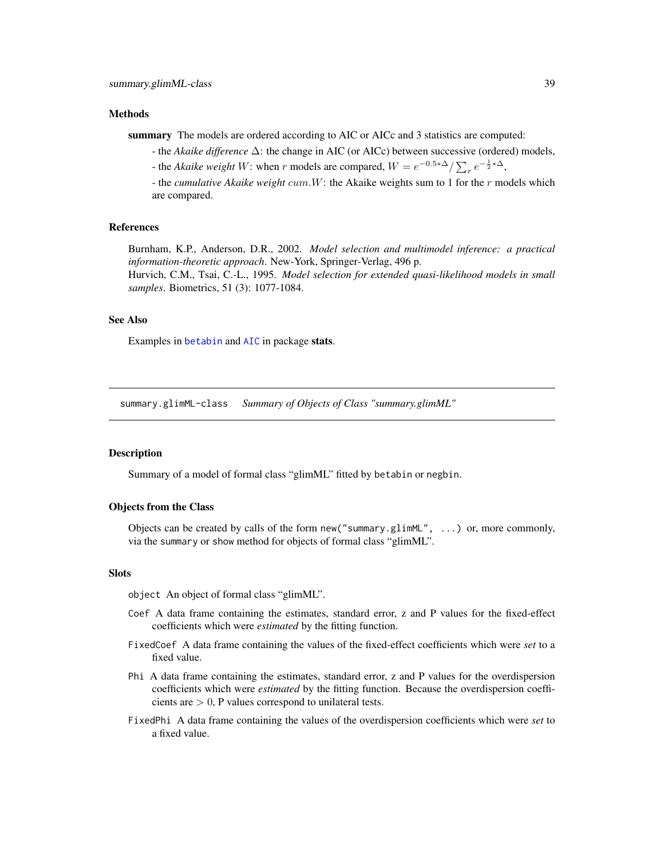# <span id="page-38-0"></span>Methods

summary The models are ordered according to AIC or AICc and 3 statistics are computed:

- the *Akaike difference* ∆: the change in AIC (or AICc) between successive (ordered) models, - the *Akaike weight* W: when r models are compared,  $W = e^{-0.5 \times \Delta} / \sum_{r} e^{-\frac{1}{2} \times \Delta}$ ,

- the *cumulative Akaike weight* cum.W: the Akaike weights sum to 1 for the r models which are compared.

# References

Burnham, K.P., Anderson, D.R., 2002. *Model selection and multimodel inference: a practical information-theoretic approach*. New-York, Springer-Verlag, 496 p.

Hurvich, C.M., Tsai, C.-L., 1995. *Model selection for extended quasi-likelihood models in small samples*. Biometrics, 51 (3): 1077-1084.

# See Also

Examples in [betabin](#page-6-1) and [AIC](#page-0-0) in package stats.

summary.glimML-class *Summary of Objects of Class "summary.glimML"*

# Description

Summary of a model of formal class "glimML" fitted by betabin or negbin.

# Objects from the Class

Objects can be created by calls of the form new ("summary.glimML",  $\dots$ ) or, more commonly, via the summary or show method for objects of formal class "glimML".

# **Slots**

object An object of formal class "glimML".

- Coef A data frame containing the estimates, standard error, z and P values for the fixed-effect coefficients which were *estimated* by the fitting function.
- FixedCoef A data frame containing the values of the fixed-effect coefficients which were *set* to a fixed value.
- Phi A data frame containing the estimates, standard error, z and P values for the overdispersion coefficients which were *estimated* by the fitting function. Because the overdispersion coefficients are  $> 0$ , P values correspond to unilateral tests.
- FixedPhi A data frame containing the values of the overdispersion coefficients which were *set* to a fixed value.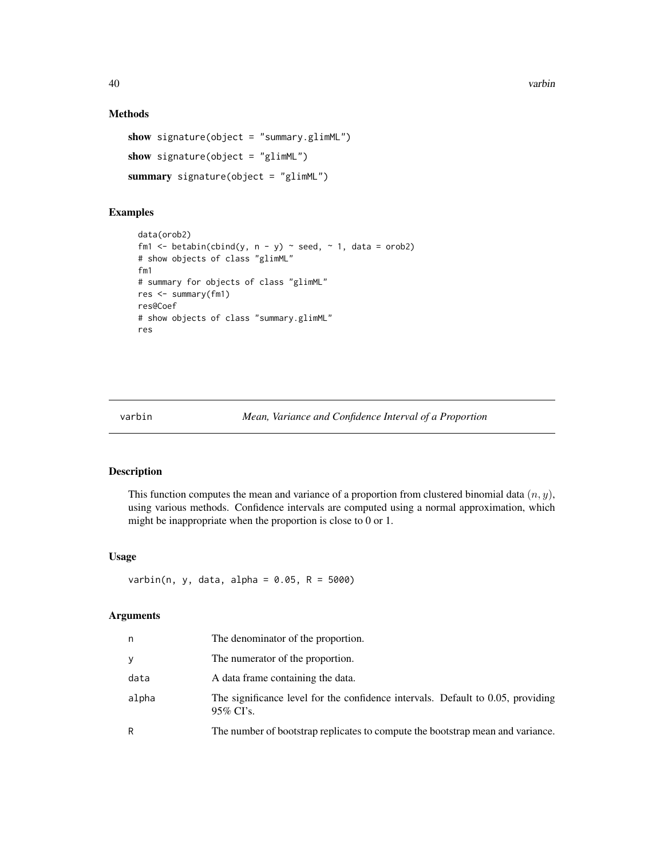40 varbin

# Methods

```
show signature(object = "summary.glimML")
show signature(object = "glimML")summary signature(object = "glimML")
```
# Examples

```
data(orob2)
fm1 <- betabin(cbind(y, n - y) ~ seed, ~ 1, data = orob2)
# show objects of class "glimML"
fm1
# summary for objects of class "glimML"
res <- summary(fm1)
res@Coef
# show objects of class "summary.glimML"
res
```
<span id="page-39-1"></span>

varbin *Mean, Variance and Confidence Interval of a Proportion*

# Description

This function computes the mean and variance of a proportion from clustered binomial data  $(n, y)$ , using various methods. Confidence intervals are computed using a normal approximation, which might be inappropriate when the proportion is close to 0 or 1.

# Usage

```
varbin(n, y, data, alpha = 0.05, R = 5000)
```
# Arguments

| n     | The denominator of the proportion.                                                           |
|-------|----------------------------------------------------------------------------------------------|
|       | The numerator of the proportion.                                                             |
| data  | A data frame containing the data.                                                            |
| alpha | The significance level for the confidence intervals. Default to 0.05, providing<br>95% CI's. |
| R     | The number of bootstrap replicates to compute the bootstrap mean and variance.               |

<span id="page-39-0"></span>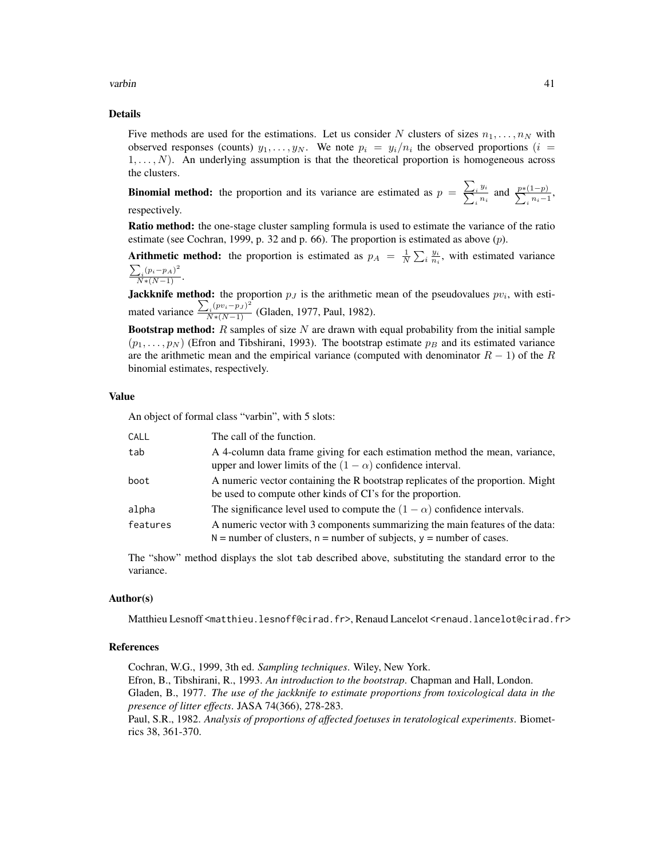varbin 41

# Details

Five methods are used for the estimations. Let us consider N clusters of sizes  $n_1, \ldots, n_N$  with observed responses (counts)  $y_1, \ldots, y_N$ . We note  $p_i = y_i/n_i$  the observed proportions (*i* =  $1, \ldots, N$ ). An underlying assumption is that the theoretical proportion is homogeneous across the clusters.

**Binomial method:** the proportion and its variance are estimated as  $p = \frac{\sum_i y_i}{\sum_i n_i}$  and  $\frac{p*(1-p)}{\sum_i n_i-1}$ , respectively.

Ratio method: the one-stage cluster sampling formula is used to estimate the variance of the ratio estimate (see Cochran, 1999, p. 32 and p. 66). The proportion is estimated as above  $(p)$ .

**Arithmetic method:** the proportion is estimated as  $p_A = \frac{1}{N} \sum_i \frac{y_i}{n_i}$ , with estimated variance  $\frac{\sum_i (p_i - p_A)^2}{N*(N-1)}$ .

**Jackknife method:** the proportion  $p_j$  is the arithmetic mean of the pseudovalues  $pv_i$ , with estimated variance  $\frac{\sum_i (pv_i - p_J)^2}{N*(N-1)}$  (Gladen, 1977, Paul, 1982).

**Bootstrap method:**  $R$  samples of size  $N$  are drawn with equal probability from the initial sample  $(p_1, \ldots, p_N)$  (Efron and Tibshirani, 1993). The bootstrap estimate  $p_B$  and its estimated variance are the arithmetic mean and the empirical variance (computed with denominator  $R - 1$ ) of the R binomial estimates, respectively.

# Value

An object of formal class "varbin", with 5 slots:

| CALL     | The call of the function.                                                                                                                                   |
|----------|-------------------------------------------------------------------------------------------------------------------------------------------------------------|
| tab      | A 4-column data frame giving for each estimation method the mean, variance,<br>upper and lower limits of the $(1 - \alpha)$ confidence interval.            |
| boot     | A numeric vector containing the R bootstrap replicates of the proportion. Might<br>be used to compute other kinds of CI's for the proportion.               |
| alpha    | The significance level used to compute the $(1 - \alpha)$ confidence intervals.                                                                             |
| features | A numeric vector with 3 components summarizing the main features of the data:<br>$N =$ number of clusters, $n =$ number of subjects, $y =$ number of cases. |

The "show" method displays the slot tab described above, substituting the standard error to the variance.

## Author(s)

Matthieu Lesnoff <matthieu.lesnoff@cirad.fr>, Renaud Lancelot <renaud.lancelot@cirad.fr>

# References

Cochran, W.G., 1999, 3th ed. *Sampling techniques*. Wiley, New York. Efron, B., Tibshirani, R., 1993. *An introduction to the bootstrap*. Chapman and Hall, London. Gladen, B., 1977. *The use of the jackknife to estimate proportions from toxicological data in the presence of litter effects*. JASA 74(366), 278-283.

Paul, S.R., 1982. *Analysis of proportions of affected foetuses in teratological experiments*. Biometrics 38, 361-370.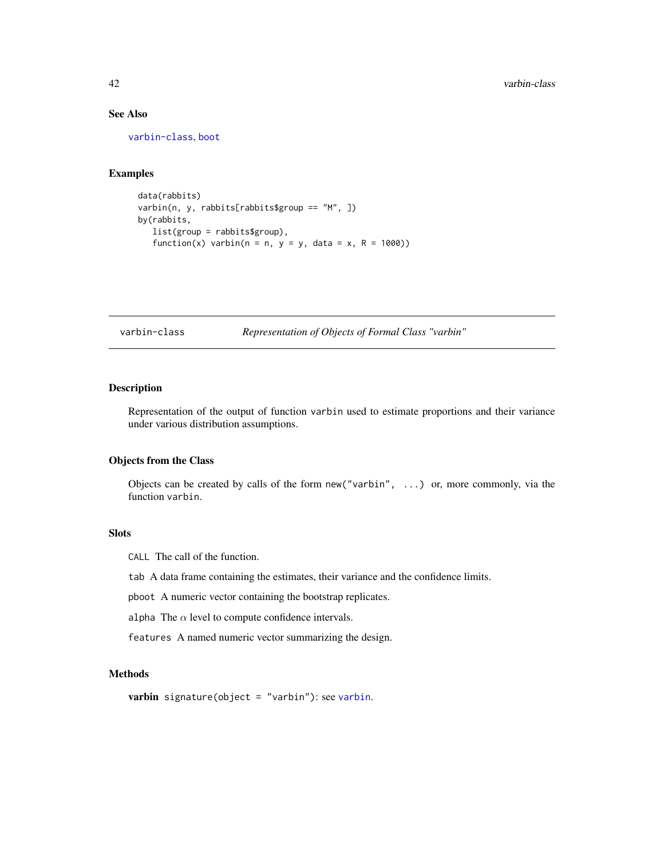# See Also

[varbin-class](#page-41-1), [boot](#page-0-0)

# Examples

```
data(rabbits)
varbin(n, y, rabbits[rabbits$group == "M", ])
by(rabbits,
   list(group = rabbits$group),
   function(x) varbin(n = n, y = y, data = x, R = 1000))
```
<span id="page-41-1"></span>varbin-class *Representation of Objects of Formal Class "varbin"*

# Description

Representation of the output of function varbin used to estimate proportions and their variance under various distribution assumptions.

#### Objects from the Class

Objects can be created by calls of the form new("varbin", ...) or, more commonly, via the function varbin.

# **Slots**

CALL The call of the function.

tab A data frame containing the estimates, their variance and the confidence limits.

pboot A numeric vector containing the bootstrap replicates.

alpha The  $\alpha$  level to compute confidence intervals.

features A named numeric vector summarizing the design.

# Methods

varbin signature(object = "varbin"): see [varbin](#page-39-1).

<span id="page-41-0"></span>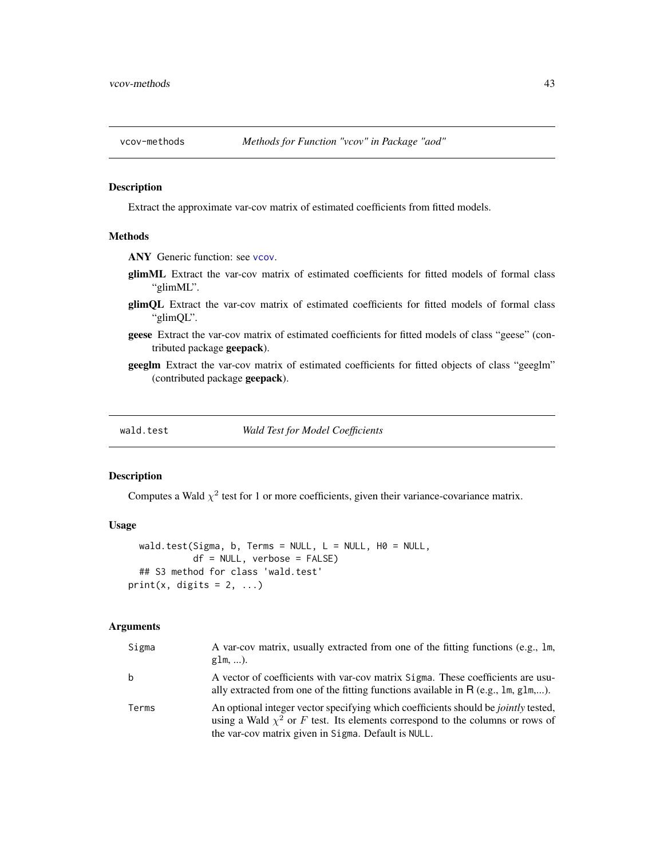<span id="page-42-0"></span>

Extract the approximate var-cov matrix of estimated coefficients from fitted models.

#### Methods

ANY Generic function: see [vcov](#page-0-0).

- glimML Extract the var-cov matrix of estimated coefficients for fitted models of formal class "glimML".
- glimQL Extract the var-cov matrix of estimated coefficients for fitted models of formal class "glimQL".
- geese Extract the var-cov matrix of estimated coefficients for fitted models of class "geese" (contributed package geepack).
- geeglm Extract the var-cov matrix of estimated coefficients for fitted objects of class "geeglm" (contributed package geepack).

wald.test *Wald Test for Model Coefficients*

# Description

Computes a Wald  $\chi^2$  test for 1 or more coefficients, given their variance-covariance matrix.

#### Usage

```
wald.test(Sigma, b, Terms = NULL, L = NULL, H0 = NULL,
            df = NULL, verbose = FALSE)
 ## S3 method for class 'wald.test'
print(x, digits = 2, ...)
```
# Arguments

| Sigma | A var-cov matrix, usually extracted from one of the fitting functions (e.g., 1m,<br>glm, $\dots$ ).                                                                                                                                    |
|-------|----------------------------------------------------------------------------------------------------------------------------------------------------------------------------------------------------------------------------------------|
| b     | A vector of coefficients with var-cov matrix Sigma. These coefficients are usu-<br>ally extracted from one of the fitting functions available in $R$ (e.g., 1m, g1m,).                                                                 |
| Terms | An optional integer vector specifying which coefficients should be <i>jointly</i> tested,<br>using a Wald $\chi^2$ or F test. Its elements correspond to the columns or rows of<br>the var-cov matrix given in Sigma. Default is NULL. |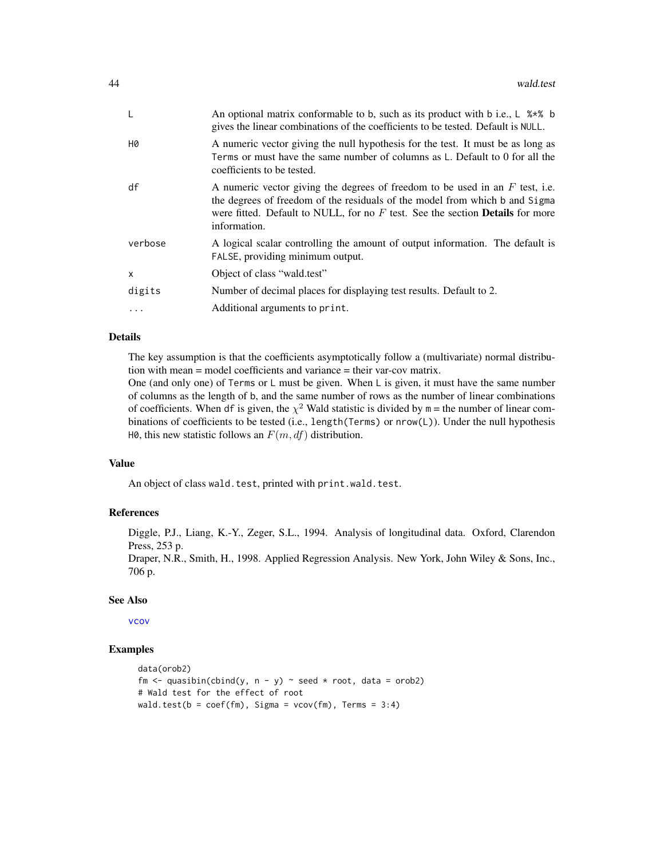<span id="page-43-0"></span>

|         | An optional matrix conformable to b, such as its product with b i.e., L $\frac{8*}{8}$ b<br>gives the linear combinations of the coefficients to be tested. Default is NULL.                                                                                            |
|---------|-------------------------------------------------------------------------------------------------------------------------------------------------------------------------------------------------------------------------------------------------------------------------|
| H0      | A numeric vector giving the null hypothesis for the test. It must be as long as<br>Terms or must have the same number of columns as L. Default to 0 for all the<br>coefficients to be tested.                                                                           |
| df      | A numeric vector giving the degrees of freedom to be used in an $F$ test, i.e.<br>the degrees of freedom of the residuals of the model from which b and Sigma<br>were fitted. Default to NULL, for no $F$ test. See the section <b>Details</b> for more<br>information. |
| verbose | A logical scalar controlling the amount of output information. The default is<br>FALSE, providing minimum output.                                                                                                                                                       |
| X       | Object of class "wald.test"                                                                                                                                                                                                                                             |
| digits  | Number of decimal places for displaying test results. Default to 2.                                                                                                                                                                                                     |
|         | Additional arguments to print.                                                                                                                                                                                                                                          |

# Details

The key assumption is that the coefficients asymptotically follow a (multivariate) normal distribution with mean = model coefficients and variance = their var-cov matrix.

One (and only one) of Terms or L must be given. When L is given, it must have the same number of columns as the length of b, and the same number of rows as the number of linear combinations of coefficients. When df is given, the  $\chi^2$  Wald statistic is divided by m = the number of linear combinations of coefficients to be tested (i.e., length(Terms) or nrow(L)). Under the null hypothesis H0, this new statistic follows an  $F(m, df)$  distribution.

# Value

An object of class wald.test, printed with print.wald.test.

# References

Diggle, P.J., Liang, K.-Y., Zeger, S.L., 1994. Analysis of longitudinal data. Oxford, Clarendon Press, 253 p.

Draper, N.R., Smith, H., 1998. Applied Regression Analysis. New York, John Wiley & Sons, Inc., 706 p.

# See Also

[vcov](#page-0-0)

# Examples

```
data(orob2)
fm <- quasibin(cbind(y, n - y) ~ seed * root, data = orob2)
# Wald test for the effect of root
wald.test(b = \text{coef}(fm), Sigma = vcov(fm), Terms = 3:4)
```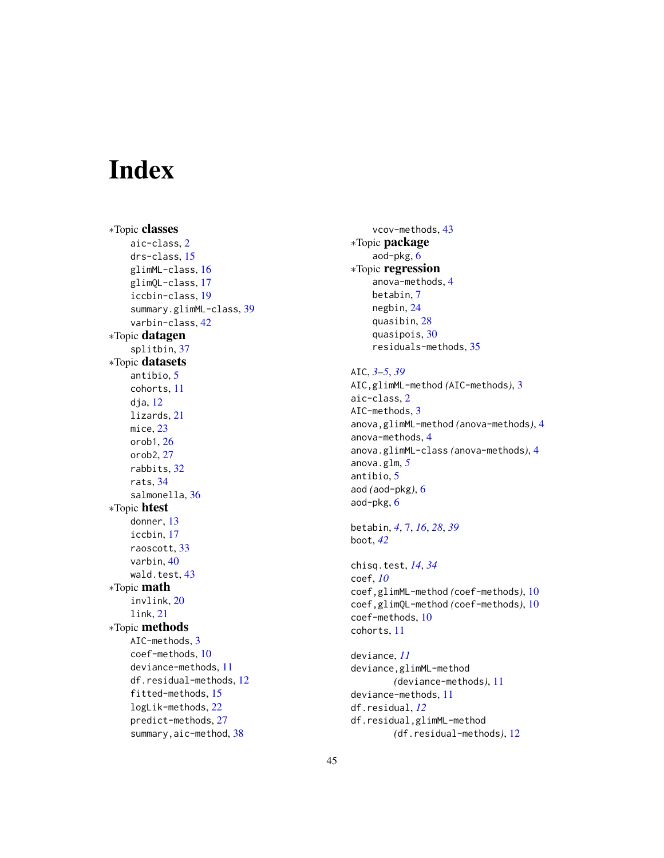# <span id="page-44-0"></span>**Index**

∗Topic classes aic-class , [2](#page-1-0) drs-class , [15](#page-14-0) glimML-class , [16](#page-15-0) glimQL-class , [17](#page-16-0) iccbin-class , [19](#page-18-0) summary.glimML-class, [39](#page-38-0) varbin-class , [42](#page-41-0) ∗Topic datagen splitbin , [37](#page-36-0) ∗Topic datasets antibio , [5](#page-4-0) cohorts , [11](#page-10-0) dja , [12](#page-11-0) lizards , [21](#page-20-0) mice , [23](#page-22-0) orob1 , [26](#page-25-0) orob2 , [27](#page-26-0) rabbits , [32](#page-31-0) rats , [34](#page-33-0) salmonella, [36](#page-35-0) ∗Topic htest donner , [13](#page-12-0) iccbin , [17](#page-16-0) raoscott , [33](#page-32-0) varbin , [40](#page-39-0) wald.test, [43](#page-42-0) ∗Topic math invlink , [20](#page-19-0) link , [21](#page-20-0) ∗Topic methods AIC-methods, [3](#page-2-0) coef-methods , [10](#page-9-0) deviance-methods , [11](#page-10-0) df.residual-methods , [12](#page-11-0) fitted-methods , [15](#page-14-0) logLik-methods , [22](#page-21-0) predict-methods , [27](#page-26-0) summary, aic-method, [38](#page-37-0)

vcov-methods , [43](#page-42-0) ∗Topic package aod-pkg , [6](#page-5-0) ∗Topic regression anova-methods , [4](#page-3-0) betabin , [7](#page-6-0) negbin , [24](#page-23-0) quasibin, [28](#page-27-0) quasipois , [30](#page-29-0) residuals-methods , [35](#page-34-0) AIC , *[3](#page-2-0) – [5](#page-4-0)* , *[39](#page-38-0)* AIC,glimML-method *(*AIC-methods *)* , [3](#page-2-0) aic-class , [2](#page-1-0) AIC-methods, [3](#page-2-0) anova,glimML-method *(*anova-methods *)* , [4](#page-3-0) anova-methods , [4](#page-3-0) anova.glimML-class *(*anova-methods *)* , [4](#page-3-0) anova.glm , *[5](#page-4-0)* antibio, <mark>[5](#page-4-0)</mark> aod *(*aod-pkg *)* , [6](#page-5-0) aod-pkg , [6](#page-5-0) betabin , *[4](#page-3-0)* , [7](#page-6-0) , *[16](#page-15-0)* , *[28](#page-27-0)* , *[39](#page-38-0)* boot , *[42](#page-41-0)* chisq.test , *[14](#page-13-0)* , *[34](#page-33-0)* coef , *[10](#page-9-0)* coef,glimML-method *(*coef-methods *)* , [10](#page-9-0) coef,glimQL-method *(*coef-methods *)* , [10](#page-9-0) coef-methods , [10](#page-9-0) cohorts , [11](#page-10-0) deviance , *[11](#page-10-0)* deviance,glimML-method *(*deviance-methods *)* , [11](#page-10-0) deviance-methods , [11](#page-10-0) df.residual , *[12](#page-11-0)* df.residual,glimML-method

*(*df.residual-methods *)* , [12](#page-11-0)